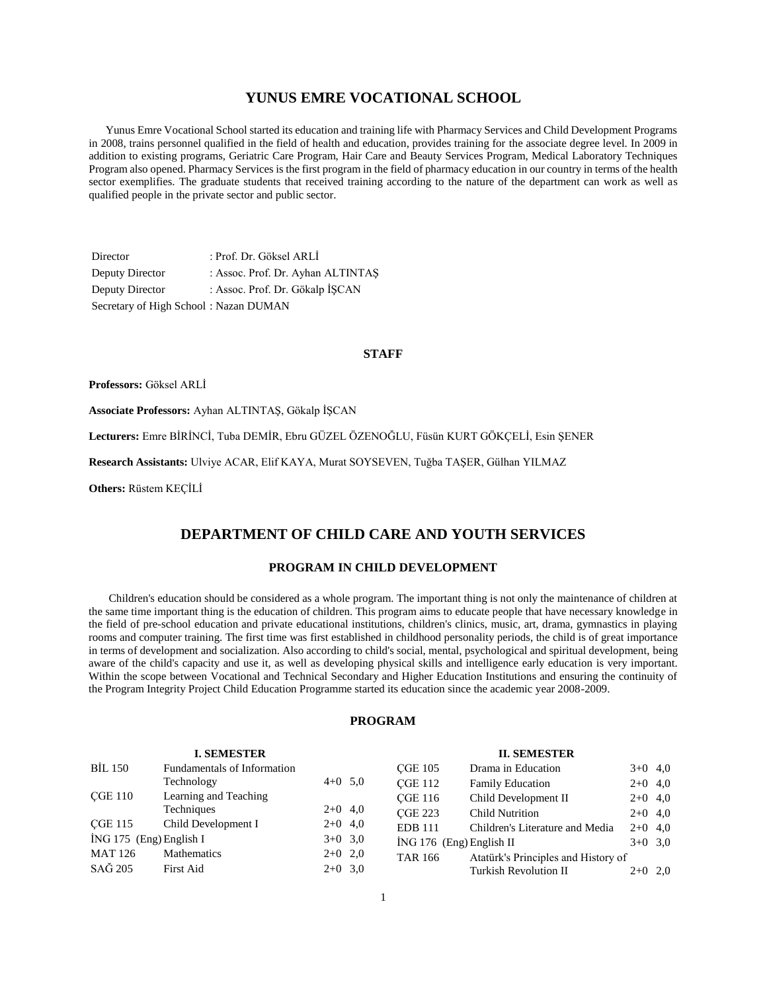# **YUNUS EMRE VOCATIONAL SCHOOL**

 Yunus Emre Vocational School started its education and training life with Pharmacy Services and Child Development Programs in 2008, trains personnel qualified in the field of health and education, provides training for the associate degree level. In 2009 in addition to existing programs, Geriatric Care Program, Hair Care and Beauty Services Program, Medical Laboratory Techniques Program also opened. Pharmacy Services is the first program in the field of pharmacy education in our country in terms of the health sector exemplifies. The graduate students that received training according to the nature of the department can work as well as qualified people in the private sector and public sector.

Director : Prof. Dr. Göksel ARLİ Deputy Director : Assoc. Prof. Dr. Ayhan ALTINTAŞ Deputy Director : Assoc. Prof. Dr. Gökalp İŞCAN Secretary of High School : Nazan DUMAN

#### **STAFF**

**Professors:** Göksel ARLİ

**Associate Professors:** Ayhan ALTINTAŞ, Gökalp İŞCAN

**Lecturers:** Emre BİRİNCİ, Tuba DEMİR, Ebru GÜZEL ÖZENOĞLU, Füsün KURT GÖKÇELİ, Esin ŞENER

**Research Assistants:** Ulviye ACAR, Elif KAYA, Murat SOYSEVEN, Tuğba TAŞER, Gülhan YILMAZ

**Others:** Rüstem KEÇİLİ

# **DEPARTMENT OF CHILD CARE AND YOUTH SERVICES**

# **PROGRAM IN CHILD DEVELOPMENT**

 Children's education should be considered as a whole program. The important thing is not only the maintenance of children at the same time important thing is the education of children. This program aims to educate people that have necessary knowledge in the field of pre-school education and private educational institutions, children's clinics, music, art, drama, gymnastics in playing rooms and computer training. The first time was first established in childhood personality periods, the child is of great importance in terms of development and socialization. Also according to child's social, mental, psychological and spiritual development, being aware of the child's capacity and use it, as well as developing physical skills and intelligence early education is very important. Within the scope between Vocational and Technical Secondary and Higher Education Institutions and ensuring the continuity of the Program Integrity Project Child Education Programme started its education since the academic year 2008-2009.

#### **PROGRAM**

| <b>I. SEMESTER</b>      |                             |           | <b>II. SEMESTER</b>        |                                     |           |  |  |
|-------------------------|-----------------------------|-----------|----------------------------|-------------------------------------|-----------|--|--|
| <b>BIL 150</b>          | Fundamentals of Information |           | <b>CGE 105</b>             | Drama in Education                  | $3+0$ 4,0 |  |  |
|                         | Technology                  | $4+0$ 5.0 | <b>CGE 112</b>             | <b>Family Education</b>             | $2+0$ 4,0 |  |  |
| <b>CGE 110</b>          | Learning and Teaching       |           | <b>CGE 116</b>             | Child Development II                | $2+0$ 4,0 |  |  |
|                         | Techniques                  | $2+0$ 4,0 | <b>CGE 223</b>             | <b>Child Nutrition</b>              | $2+0$ 4,0 |  |  |
| <b>CGE 115</b>          | Child Development I         | $2+0$ 4,0 | <b>EDB</b> 111             | Children's Literature and Media     | $2+0$ 4,0 |  |  |
| İNG 175 (Eng) English I |                             | $3+0$ 3,0 | $ING 176$ (Eng) English II |                                     | $3+0$ 3,0 |  |  |
| <b>MAT 126</b>          | <b>Mathematics</b>          | $2+0$ 2,0 | <b>TAR 166</b>             | Atatürk's Principles and History of |           |  |  |
| SAĞ 205                 | <b>First Aid</b>            | $2+0$ 3,0 |                            | Turkish Revolution II               | $2+0$ 2,0 |  |  |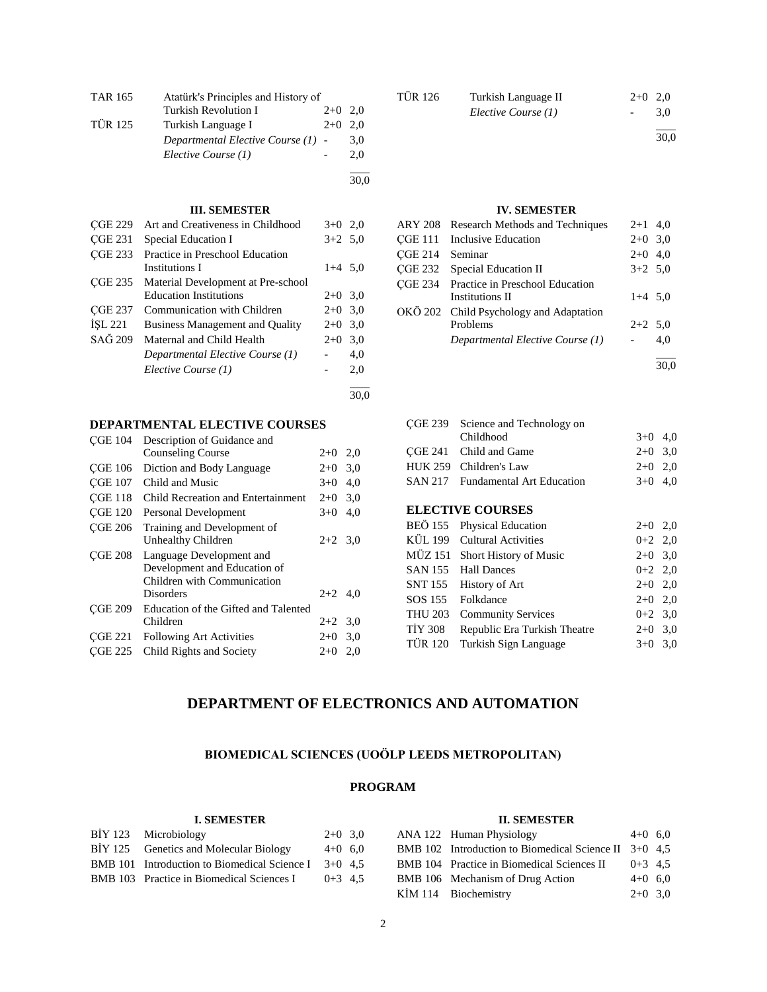| Turkish Revolution I | $2+0$ | 2.0                                                                       |
|----------------------|-------|---------------------------------------------------------------------------|
| Turkish Language I   | $2+0$ | 2.0                                                                       |
|                      |       | 3,0                                                                       |
| Elective Course (1)  |       | 2.0                                                                       |
|                      |       | 30.0                                                                      |
|                      |       | Atatürk's Principles and History of<br>Departmental Elective Course (1) - |

| <b>CGE 229</b> | Art and Creativeness in Childhood                 | $3+0$ 2.0 |      |
|----------------|---------------------------------------------------|-----------|------|
| <b>CGE 231</b> | Special Education I                               | $3+2$ 5.0 |      |
| <b>CGE 233</b> | Practice in Preschool Education<br>Institutions I | $1+4$ 5.0 |      |
| <b>CGE 235</b> | Material Development at Pre-school                |           |      |
|                | <b>Education Institutions</b>                     | $2+0$ 3.0 |      |
| <b>CGE 237</b> | Communication with Children                       | $2+0$ 3.0 |      |
| ISL 221        | <b>Business Management and Quality</b>            | $2+0$ 3.0 |      |
| SAĞ 209        | Maternal and Child Health                         | $2+0$ 3.0 |      |
|                | Departmental Elective Course (1)                  |           | 4,0  |
|                | Elective Course (1)                               |           | 2.0  |
|                |                                                   |           | 30.0 |

# **DEPARTMENTAL ELECTIVE COURSES**

| <b>CGE 104</b> | Description of Guidance and          |           |     |
|----------------|--------------------------------------|-----------|-----|
|                | <b>Counseling Course</b>             | $2+0$     | 2,0 |
| <b>CGE 106</b> | Diction and Body Language            | $2+0$     | 3,0 |
| <b>CGE 107</b> | Child and Music                      | $3+0$     | 4,0 |
| <b>CGE 118</b> | Child Recreation and Entertainment   | $2+0$     | 3,0 |
| <b>CGE 120</b> | Personal Development                 | $3+0$     | 4,0 |
| <b>CGE 206</b> | Training and Development of          |           |     |
|                | Unhealthy Children                   | $2+2$ 3.0 |     |
| <b>CGE 208</b> | Language Development and             |           |     |
|                | Development and Education of         |           |     |
|                | Children with Communication          |           |     |
|                | Disorders                            | $2+2$ 4,0 |     |
| <b>CGE 209</b> | Education of the Gifted and Talented |           |     |
|                | Children                             | $2+2$ 3.0 |     |
| <b>CGE 221</b> | <b>Following Art Activities</b>      | $2+0$     | 3,0 |
| <b>CGE 225</b> | Child Rights and Society             | $2+0$     | 2,0 |
|                |                                      |           |     |

| <b>TÜR 126</b> | Turkish Language II | $2+0$ 2,0     |     |
|----------------|---------------------|---------------|-----|
|                | Elective Course (1) | $\sim$ $\sim$ | 3.0 |
|                |                     |               |     |

30,0

30,0

# **IV. SEMESTER**

|         | ARY 208 Research Methods and Techniques | $2+1$ 4,0 |     |
|---------|-----------------------------------------|-----------|-----|
|         | CGE 111 Inclusive Education             | $2+0$ 3,0 |     |
| CGE 214 | Seminar                                 | $2+0$ 4.0 |     |
|         | <b>CGE 232</b> Special Education II     | $3+2$ 5.0 |     |
|         | CGE 234 Practice in Preschool Education |           |     |
|         | Institutions II                         | $1+4$ 5,0 |     |
|         | OKÖ 202 Child Psychology and Adaptation |           |     |
|         | Problems                                | $2+2$ 5,0 |     |
|         | Departmental Elective Course (1)        |           | 4.0 |
|         |                                         |           |     |

| <b>CGE 239</b> | Science and Technology on        |           |     |
|----------------|----------------------------------|-----------|-----|
|                | Childhood                        | $3+0$     | 4,0 |
| CGE 241        | Child and Game                   | $2+0$     | 3,0 |
| <b>HUK 259</b> | Children's Law                   | $2+0$     | 2,0 |
| <b>SAN 217</b> | <b>Fundamental Art Education</b> | $3+0$     | 4,0 |
|                |                                  |           |     |
|                | <b>ELECTIVE COURSES</b>          |           |     |
| <b>BEÖ</b> 155 | <b>Physical Education</b>        | $2+0$     | 2,0 |
| KÜL 199        | Cultural Activities              | $0+2$ 2,0 |     |
| MÜZ 151        | <b>Short History of Music</b>    | $2+0$ 3,0 |     |
| SAN 155        | <b>Hall Dances</b>               | $0+2$ 2,0 |     |
| SNT 155        | History of Art                   | $2+0$ 2,0 |     |
| SOS 155        | Folkdance                        | $2+0$     | 2,0 |
| <b>THU 203</b> | <b>Community Services</b>        | $0 + 2$   | 3,0 |
| <b>TİY 308</b> | Republic Era Turkish Theatre     | $2 + 0$   | 3,0 |
| <b>TÜR 120</b> | Turkish Sign Language            | $3+0$     | 3,0 |
|                |                                  |           |     |

# **DEPARTMENT OF ELECTRONICS AND AUTOMATION**

# **BIOMEDICAL SCIENCES (UOÖLP LEEDS METROPOLITAN)**

# **PROGRAM**

#### **I. SEMESTER**

| BİY 123 Microbiology                                   | $2+0$ 3.0 |  |
|--------------------------------------------------------|-----------|--|
| BIY 125 Genetics and Molecular Biology                 | $4+0$ 6.0 |  |
| BMB 101 Introduction to Biomedical Science I $3+0$ 4.5 |           |  |
| BMB 103 Practice in Biomedical Sciences I              | $0+3$ 4.5 |  |

# **II. SEMESTER**

| ANA 122 Human Physiology                                | $4+0$ 6.0 |  |
|---------------------------------------------------------|-----------|--|
| BMB 102 Introduction to Biomedical Science II $3+0$ 4,5 |           |  |
| BMB 104 Practice in Biomedical Sciences II              | $0+3$ 4.5 |  |
| BMB 106 Mechanism of Drug Action                        | $4+0$ 6.0 |  |
| KIM 114 Biochemistry                                    | $2+0$ 3.0 |  |
|                                                         |           |  |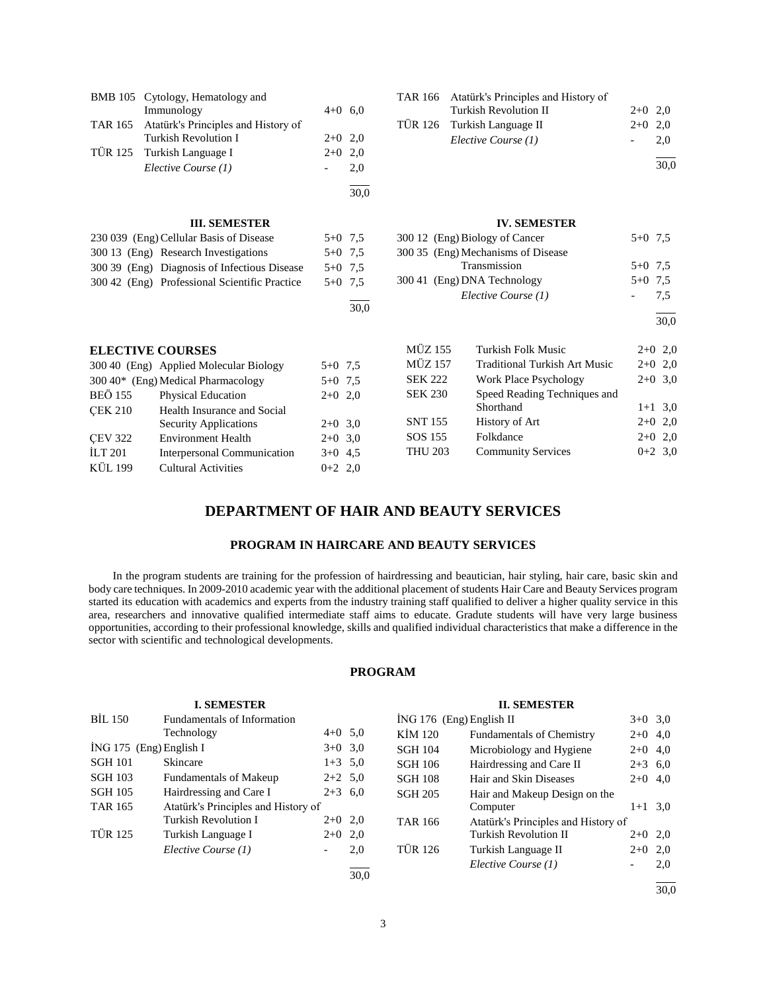| <b>BMB</b> 105                                | Cytology, Hematology and<br>Immunology       | $4+0$ 6.0 |      | <b>TAR 166</b> | Atatürk's Principles and History of<br>Turkish Revolution II |       | $2+0$ 2,0 |
|-----------------------------------------------|----------------------------------------------|-----------|------|----------------|--------------------------------------------------------------|-------|-----------|
| <b>TAR 165</b>                                | Atatürk's Principles and History of          |           |      | <b>TÜR 126</b> | Turkish Language II                                          | $2+0$ | 2,0       |
|                                               | Turkish Revolution I                         | $2+0$ 2,0 |      |                | Elective Course (1)                                          |       | 2,0       |
| <b>TÜR 125</b>                                | Turkish Language I                           | $2+0$     | 2.0  |                |                                                              |       |           |
|                                               | Elective Course (1)                          |           | 2,0  |                |                                                              |       | 30,0      |
|                                               |                                              |           | 30,0 |                |                                                              |       |           |
|                                               | <b>III. SEMESTER</b>                         |           |      |                | <b>IV. SEMESTER</b>                                          |       |           |
|                                               | 230 039 (Eng) Cellular Basis of Disease      | $5+0$ 7,5 |      |                | 300 12 (Eng) Biology of Cancer                               |       | $5+0$ 7.5 |
|                                               | 300 13 (Eng) Research Investigations         | $5+0$ 7.5 |      |                | 300 35 (Eng) Mechanisms of Disease                           |       |           |
|                                               | 300 39 (Eng) Diagnosis of Infectious Disease | $5+0$ 7.5 |      |                | Transmission                                                 |       | $5+0$ 7.5 |
| 300 42 (Eng) Professional Scientific Practice |                                              | $5+0$ 7,5 |      |                | 300 41 (Eng) DNA Technology                                  |       | $5+0$ 7.5 |
|                                               |                                              |           |      |                | Elective Course (1)                                          |       | 7,5       |
|                                               |                                              |           | 30,0 |                |                                                              |       |           |
|                                               |                                              |           |      |                |                                                              |       | 30,0      |
|                                               | <b>ELECTIVE COURSES</b>                      |           |      | <b>MÜZ 155</b> | Turkish Folk Music                                           |       | $2+0$ 2,0 |
|                                               | 300 40 (Eng) Applied Molecular Biology       | $5+0$ 7,5 |      | <b>MÜZ 157</b> | <b>Traditional Turkish Art Music</b>                         |       | $2+0$ 2,0 |
|                                               | 300 40* (Eng) Medical Pharmacology           | $5+0$ 7.5 |      | <b>SEK 222</b> | <b>Work Place Psychology</b>                                 |       | $2+0$ 3,0 |
| <b>BEÖ 155</b>                                | Physical Education                           | $2+0$ 2,0 |      | <b>SEK 230</b> | Speed Reading Techniques and                                 |       |           |
| <b>CEK 210</b>                                | Health Insurance and Social                  |           |      |                | Shorthand                                                    |       | $1+1$ 3,0 |
|                                               | Security Applications                        | $2+0$ 3.0 |      | <b>SNT 155</b> | History of Art                                               |       | $2+0$ 2,0 |
| <b>CEV 322</b>                                | <b>Environment Health</b>                    | $2+0$ 3,0 |      | SOS 155        | Folkdance                                                    |       | $2+0$ 2,0 |
| $\overline{11}$ T 201                         | Interpersonal Communication                  | $3+0$ 4.5 |      | <b>THU 203</b> | <b>Community Services</b>                                    |       | $0+2$ 3,0 |
| KÜL 199                                       | <b>Cultural Activities</b>                   | $0+2$ 2.0 |      |                |                                                              |       |           |

# **DEPARTMENT OF HAIR AND BEAUTY SERVICES**

# **PROGRAM IN HAIRCARE AND BEAUTY SERVICES**

 In the program students are training for the profession of hairdressing and beautician, hair styling, hair care, basic skin and body care techniques. In 2009-2010 academic year with the additional placement of students Hair Care and Beauty Services program started its education with academics and experts from the industry training staff qualified to deliver a higher quality service in this area, researchers and innovative qualified intermediate staff aims to educate. Gradute students will have very large business opportunities, according to their professional knowledge, skills and qualified individual characteristics that make a difference in the sector with scientific and technological developments.

# **PROGRAM**

|                         | <b>I. SEMESTER</b>                  |                          |           |                            | <b>II. SEMESTER</b>                 |           |     |
|-------------------------|-------------------------------------|--------------------------|-----------|----------------------------|-------------------------------------|-----------|-----|
| <b>BIL 150</b>          | Fundamentals of Information         |                          |           | $ING 176$ (Eng) English II |                                     | $3+0$ 3,0 |     |
|                         | Technology                          |                          | $4+0$ 5,0 | KİM 120                    | <b>Fundamentals of Chemistry</b>    | $2+0$ 4,0 |     |
| İNG 175 (Eng) English I |                                     |                          | $3+0$ 3,0 | <b>SGH 104</b>             | Microbiology and Hygiene            | $2+0$ 4,0 |     |
| <b>SGH 101</b>          | <b>Skincare</b>                     |                          | $1+3$ 5,0 | <b>SGH 106</b>             | Hairdressing and Care II            | $2+3$ 6,0 |     |
| <b>SGH 103</b>          | <b>Fundamentals of Makeup</b>       |                          | $2+2$ 5.0 | <b>SGH 108</b>             | Hair and Skin Diseases              | $2+0$ 4,0 |     |
| <b>SGH 105</b>          | Hairdressing and Care I             |                          | $2+3$ 6.0 | <b>SGH 205</b>             | Hair and Makeup Design on the       |           |     |
| <b>TAR 165</b>          | Atatürk's Principles and History of |                          |           |                            | Computer                            | $1+1$ 3,0 |     |
|                         | Turkish Revolution I                |                          | $2+0$ 2,0 | <b>TAR 166</b>             | Atatürk's Principles and History of |           |     |
| <b>TÜR 125</b>          | Turkish Language I                  |                          | $2+0$ 2,0 |                            | <b>Turkish Revolution II</b>        | $2+0$ 2,0 |     |
|                         | Elective Course (1)                 | $\overline{\phantom{a}}$ | 2,0       | <b>TÜR 126</b>             | Turkish Language II                 | $2+0$ 2,0 |     |
|                         |                                     |                          |           |                            | Elective Course (1)                 |           | 2,0 |
|                         |                                     |                          | 30.0      |                            |                                     |           |     |

30,0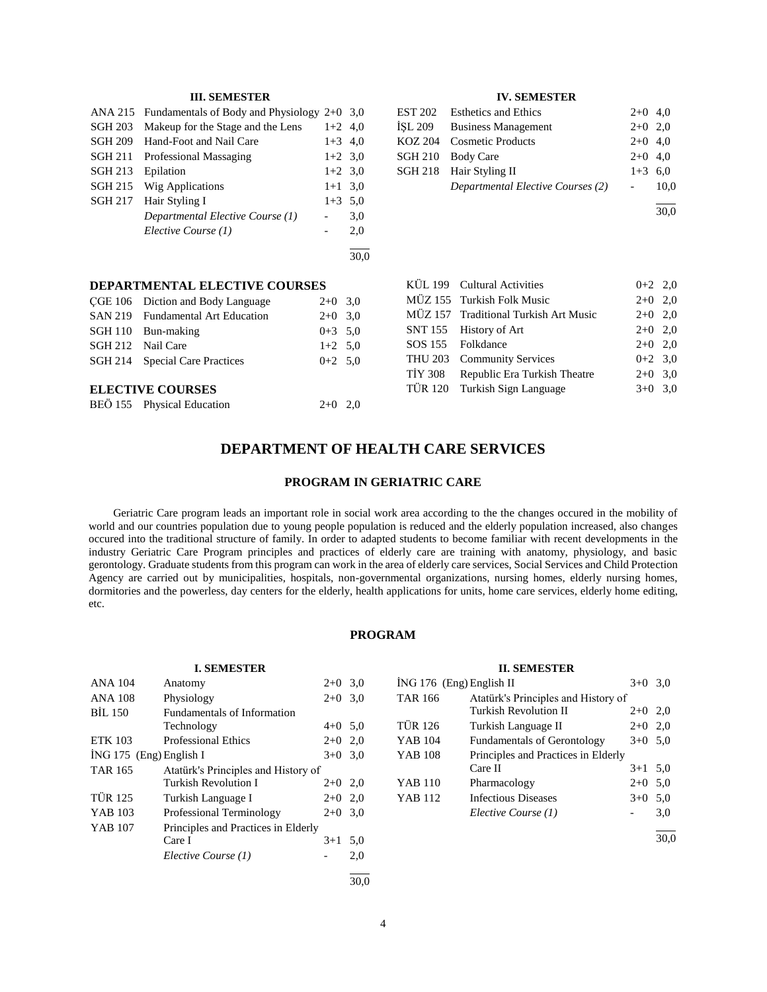| ANA 215        | Fundamentals of Body and Physiology $2+0$ 3,0 |           |      |
|----------------|-----------------------------------------------|-----------|------|
| <b>SGH 203</b> | Makeup for the Stage and the Lens             | $1+2$ 4.0 |      |
| <b>SGH 209</b> | Hand-Foot and Nail Care                       | $1+3$ 4.0 |      |
| <b>SGH 211</b> | Professional Massaging                        | $1+2$ 3.0 |      |
| <b>SGH 213</b> | Epilation                                     | $1+2$ 3.0 |      |
| <b>SGH 215</b> | Wig Applications                              | $1+1$     | 3,0  |
| <b>SGH 217</b> | Hair Styling I                                | $1+3$     | 5.0  |
|                | Departmental Elective Course (1)              |           | 3,0  |
|                | Elective Course (1)                           |           | 2,0  |
|                |                                               |           | 30,0 |
|                |                                               |           |      |

#### **IV. SEMESTER**

| EST 202 Esthetics and Ethics      | $2+0$ 4.0              |      |
|-----------------------------------|------------------------|------|
| ISL 209 Business Management       | $2+0$ 2.0              |      |
| KOZ 204 Cosmetic Products         | $2+0$ 4,0              |      |
| SGH 210 Body Care                 | $2+0$ 4,0              |      |
| SGH 218 Hair Styling II           | $1+3$ 6.0              |      |
| Departmental Elective Courses (2) | $\Delta \sim 10^{-11}$ | 10.0 |
|                                   |                        |      |

30,0

| KÜL 199 Cultural Activities           | $0+2$ 2,0 |  |
|---------------------------------------|-----------|--|
| MÜZ 155 Turkish Folk Music            | $2+0$ 2,0 |  |
| MÜZ 157 Traditional Turkish Art Music | $2+0$ 2,0 |  |
| SNT 155 History of Art                | $2+0$ 2,0 |  |
| SOS 155 Folkdance                     | $2+0$ 2,0 |  |
| THU 203 Community Services            | $0+2$ 3.0 |  |
| TİY 308 Republic Era Turkish Theatre  | $2+0$ 3.0 |  |
| TÜR 120 Turkish Sign Language         | $3+0$ 3.0 |  |

#### **DEPARTMENTAL ELECTIVE COURSES** CGE 106 Diction and Body Language  $2+0$  3.0

| <b>ELECTIVE COURSES</b> |                                   |             |  |  |
|-------------------------|-----------------------------------|-------------|--|--|
|                         | SGH 214 Special Care Practices    | $0+2$ 5.0   |  |  |
| SGH 212 Nail Care       |                                   | $1+2$ 5.0   |  |  |
|                         | SGH 110 Bun-making                | $0+3$ 5.0   |  |  |
|                         | SAN 219 Fundamental Art Education | $2+0$ 3.0   |  |  |
|                         | COL TOO DICITOR and DOGY Language | $210 - 310$ |  |  |

| BEÖ 155 Physical Education | $2+0$ 2,0 |  |
|----------------------------|-----------|--|
|                            |           |  |

# **DEPARTMENT OF HEALTH CARE SERVICES**

## **PROGRAM IN GERIATRIC CARE**

 Geriatric Care program leads an important role in social work area according to the the changes occured in the mobility of world and our countries population due to young people population is reduced and the elderly population increased, also changes occured into the traditional structure of family. In order to adapted students to become familiar with recent developments in the industry Geriatric Care Program principles and practices of elderly care are training with anatomy, physiology, and basic gerontology. Graduate students from this program can work in the area of elderly care services, Social Services and Child Protection Agency are carried out by municipalities, hospitals, non-governmental organizations, nursing homes, elderly nursing homes, dormitories and the powerless, day centers for the elderly, health applications for units, home care services, elderly home editing, etc.

# **PROGRAM**

|                         | <b>I. SEMESTER</b>                  |           |     |                          | II. SEN              |
|-------------------------|-------------------------------------|-----------|-----|--------------------------|----------------------|
| <b>ANA 104</b>          | Anatomy                             | $2+0$ 3.0 |     | İNG 176 (Eng) English II |                      |
| <b>ANA 108</b>          | Physiology                          | $2+0$ 3.0 |     | <b>TAR 166</b>           | Atatürk's Prin       |
| <b>BIL 150</b>          | Fundamentals of Information         |           |     |                          | Turkish Revo         |
|                         | Technology                          | $4+0$ 5.0 |     | <b>TÜR 126</b>           | Turkish Lang         |
| <b>ETK 103</b>          | <b>Professional Ethics</b>          | $2+0$ 2.0 |     | YAB 104                  | Fundamentals         |
| İNG 175 (Eng) English I |                                     | $3+0$ 3.0 |     | YAB 108                  | Principles and       |
| <b>TAR 165</b>          | Atatürk's Principles and History of |           |     |                          | Care II              |
|                         | Turkish Revolution I                | $2+0$ 2,0 |     | <b>YAB 110</b>           | Pharmacology         |
| <b>TÜR 125</b>          | Turkish Language I                  | $2+0$ 2,0 |     | YAB 112                  | Infectious Dis       |
| YAB 103                 | Professional Terminology            | $2+0$ 3.0 |     |                          | <b>Elective Cour</b> |
| <b>YAB 107</b>          | Principles and Practices in Elderly |           |     |                          |                      |
|                         | Care I                              | $3+1$ 5.0 |     |                          |                      |
|                         | Elective Course (1)                 |           | 2,0 |                          |                      |
|                         |                                     |           |     |                          |                      |

# **II. SEMESTER**

| ING 176 (Eng) English II |                                     | $3+0$ 3,0 |     |
|--------------------------|-------------------------------------|-----------|-----|
| TAR 166                  | Atatürk's Principles and History of |           |     |
|                          | <b>Turkish Revolution II</b>        | $2+0$ 2,0 |     |
| TÜR 126                  | Turkish Language II                 | $2+0$ 2,0 |     |
| YAB 104                  | <b>Fundamentals of Gerontology</b>  | $3+0$ 5.0 |     |
| YAB 108                  | Principles and Practices in Elderly |           |     |
|                          | Care II                             | $3+1$ 5.0 |     |
| YAB 110                  | Pharmacology                        | $2+0$ 5.0 |     |
| YAB 112                  | <b>Infectious Diseases</b>          | $3+0$     | 5,0 |
|                          | Elective Course (1)                 |           | 3,0 |
|                          |                                     |           |     |

30,0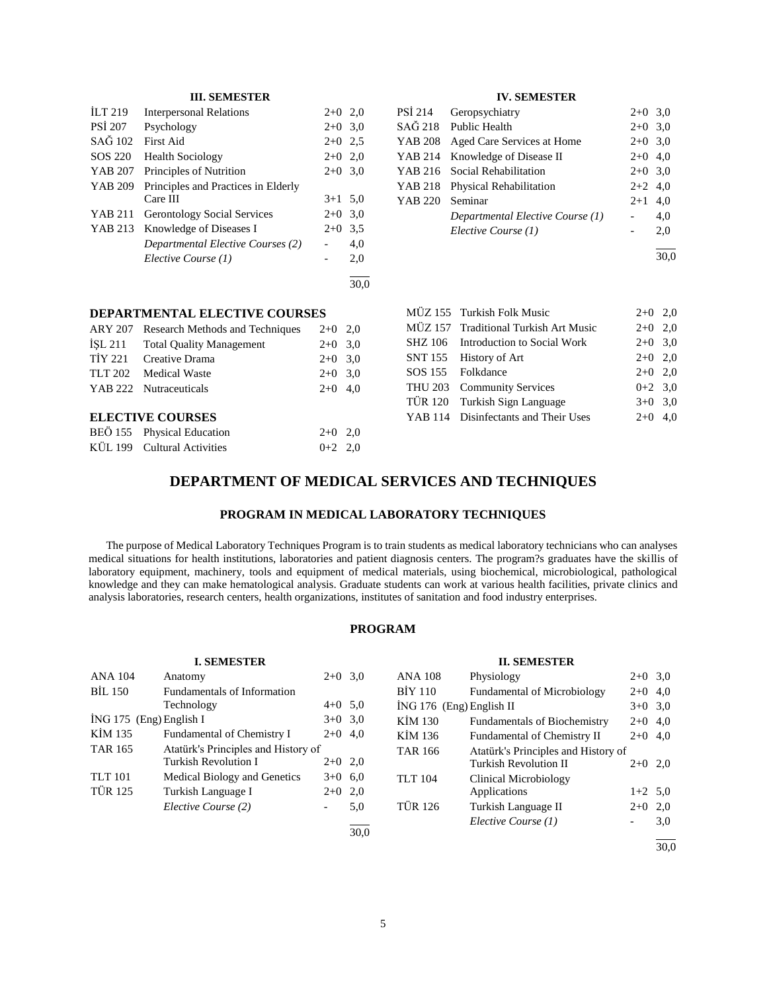| <b>ILT 219</b> | <b>Interpersonal Relations</b>      | $2+0$ 2.0 |      |
|----------------|-------------------------------------|-----------|------|
| PSI 207        | Psychology                          | $2+0$ 3.0 |      |
| SAĞ 102        | First Aid                           | $2+0$ 2.5 |      |
| SOS 220        | <b>Health Sociology</b>             | $2+0$ 2,0 |      |
| YAB 207        | Principles of Nutrition             | $2+0$ 3.0 |      |
| YAB 209        | Principles and Practices in Elderly |           |      |
|                | Care III                            | $3+1$ 5.0 |      |
| YAB 211        | <b>Gerontology Social Services</b>  | $2+0$ 3.0 |      |
| YAB 213        | Knowledge of Diseases I             | $2+0$     | 3.5  |
|                | Departmental Elective Courses (2)   |           | 4,0  |
|                | Elective Course (1)                 |           | 2,0  |
|                |                                     |           | 30.0 |

**DEPARTMENTAL ELECTIVE COURSES** ARY 207 Research Methods and Techniques 2+0 2,0 İŞL 211 Total Quality Management 2+0 3,0 TİY 221 Creative Drama  $2+0$  3,0

# **IV. SEMESTER**

| PSI 214 | Geropsychiatry                   | $2+0$ 3,0 |     |
|---------|----------------------------------|-----------|-----|
|         | SAĞ 218 Public Health            | $2+0$ 3,0 |     |
| YAB 208 | Aged Care Services at Home       | $2+0$ 3,0 |     |
| YAB 214 | Knowledge of Disease II          | $2+0$ 4,0 |     |
|         | YAB 216 Social Rehabilitation    | $2+0$ 3,0 |     |
| YAB 218 | Physical Rehabilitation          | $2+2$ 4,0 |     |
| YAB 220 | Seminar                          | $2+1$     | 4,0 |
|         | Departmental Elective Course (1) |           | 4,0 |
|         | Elective Course (1)              |           | 2,0 |
|         |                                  |           |     |

30,0

# $MÜZ 155$  Turkish Folk Music  $2+0$  2.0 MÜZ 157 Traditional Turkish Art Music 2+0 2,0 SHZ 106 Introduction to Social Work 2+0 3,0 SNT 155 History of Art 2+0 2,0 SOS 155 Folkdance 2+0 2,0 THU 203 Community Services 0+2 3,0 TÜR 120 Turkish Sign Language 3+0 3,0 YAB 114 Disinfectants and Their Uses 2+0 4,0

#### TLT 202 Medical Waste  $2+0$  3,0

#### **ELECTIVE COURSES**

| BEÖ 155 Physical Education  | $2+0$ 2.0 |  |
|-----------------------------|-----------|--|
| KÜL 199 Cultural Activities | $0+2$ 2.0 |  |

YAB 222 Nutraceuticals 2+0 4,0

# **DEPARTMENT OF MEDICAL SERVICES AND TECHNIQUES**

# **PROGRAM IN MEDICAL LABORATORY TECHNIQUES**

 The purpose of Medical Laboratory Techniques Program is to train students as medical laboratory technicians who can analyses medical situations for health institutions, laboratories and patient diagnosis centers. The program?s graduates have the skillis of laboratory equipment, machinery, tools and equipment of medical materials, using biochemical, microbiological, pathological knowledge and they can make hematological analysis. Graduate students can work at various health facilities, private clinics and analysis laboratories, research centers, health organizations, institutes of sanitation and food industry enterprises.

# **PROGRAM**

|                           | <b>I. SEMESTER</b>                  |                          |      |                            | <b>II. SEMESTER</b>                 |           |      |
|---------------------------|-------------------------------------|--------------------------|------|----------------------------|-------------------------------------|-----------|------|
| <b>ANA 104</b>            | Anatomy                             | $2+0$ 3.0                |      | <b>ANA 108</b>             | Physiology                          | $2+0$ 3,0 |      |
| BIL 150                   | Fundamentals of Information         |                          |      | <b>BIY 110</b>             | <b>Fundamental of Microbiology</b>  | $2+0$ 4,0 |      |
|                           | Technology                          | $4+0$ 5.0                |      | $ING 176$ (Eng) English II |                                     | $3+0$ 3,0 |      |
| $ING 175$ (Eng) English I |                                     | $3+0$ 3.0                |      | KIM 130                    | <b>Fundamentals of Biochemistry</b> | $2+0$ 4,0 |      |
| KIM 135                   | Fundamental of Chemistry I          | $2+0$ 4,0                |      | KİM 136                    | Fundamental of Chemistry II         | $2+0$ 4,0 |      |
| <b>TAR 165</b>            | Atatürk's Principles and History of |                          |      | <b>TAR 166</b>             | Atatürk's Principles and History of |           |      |
|                           | Turkish Revolution I                | $2+0$ 2,0                |      |                            | Turkish Revolution II               | $2+0$ 2.0 |      |
| <b>TLT</b> 101            | Medical Biology and Genetics        | $3+0$ 6.0                |      | <b>TLT</b> 104             | Clinical Microbiology               |           |      |
| <b>TÜR 125</b>            | Turkish Language I                  | $2+0$ 2,0                |      |                            | Applications                        | $1+2$ 5.0 |      |
|                           | Elective Course (2)                 | $\overline{\phantom{0}}$ | 5,0  | <b>TÜR 126</b>             | Turkish Language II                 | $2+0$ 2,0 |      |
|                           |                                     |                          | 30,0 |                            | Elective Course (1)                 |           | 3,0  |
|                           |                                     |                          |      |                            |                                     |           | 30.0 |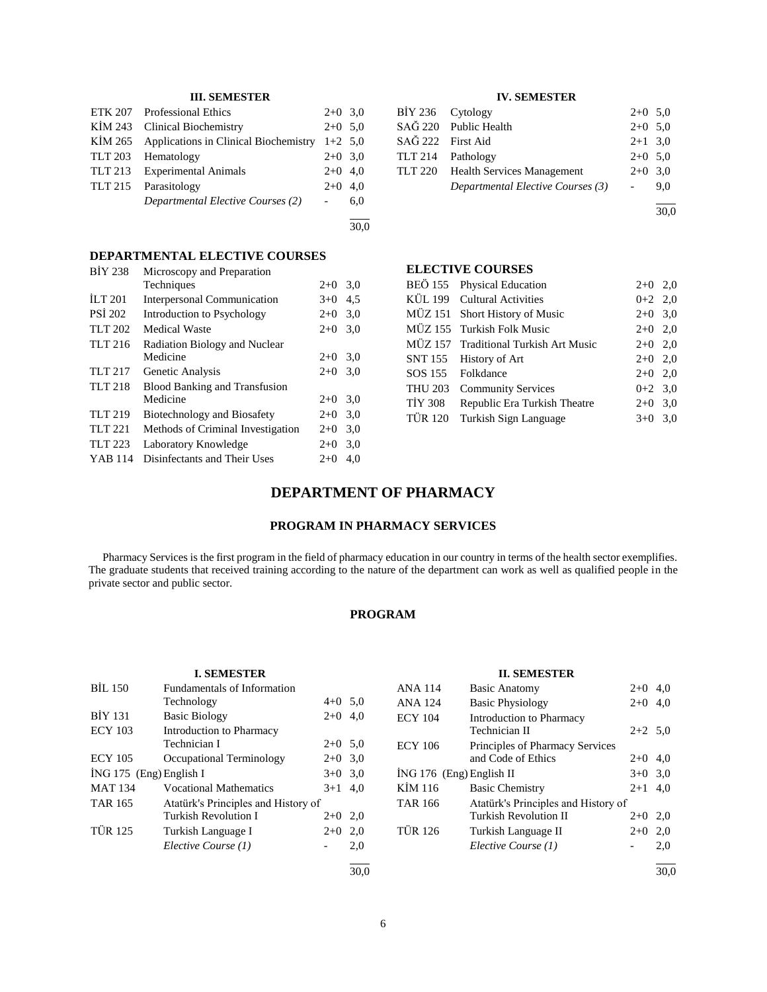| ETK 207 Professional Ethics                   | $2+0$ 3.0 |     |
|-----------------------------------------------|-----------|-----|
| KIM 243 Clinical Biochemistry                 | $2+0$ 5.0 |     |
| KİM 265 Applications in Clinical Biochemistry | $1+2$ 5.0 |     |
| TLT 203 Hematology                            | $2+0$ 3.0 |     |
| TLT 213 Experimental Animals                  | $2+0$ 4.0 |     |
| TLT 215 Parasitology                          | $2+0$ 4.0 |     |
| Departmental Elective Courses (2)             |           | 6.0 |
|                                               |           |     |

30,0

# **DEPARTMENTAL ELECTIVE COURSES**

| <b>BIY 238</b>        | Microscopy and Preparation           |       |     |
|-----------------------|--------------------------------------|-------|-----|
|                       | Techniques                           | $2+0$ | 3,0 |
| $\overline{11}$ T 201 | <b>Interpersonal Communication</b>   | $3+0$ | 4,5 |
| <b>PSI 202</b>        | Introduction to Psychology           | $2+0$ | 3,0 |
| TLT 202               | <b>Medical Waste</b>                 | $2+0$ | 3,0 |
| <b>TLT 216</b>        | Radiation Biology and Nuclear        |       |     |
|                       | Medicine                             | $2+0$ | 3,0 |
| <b>TLT 217</b>        | Genetic Analysis                     | $2+0$ | 3,0 |
| <b>TLT 218</b>        | <b>Blood Banking and Transfusion</b> |       |     |
|                       | Medicine                             | $2+0$ | 3,0 |
| <b>TLT 219</b>        | Biotechnology and Biosafety          | $2+0$ | 3,0 |
| <b>TLT 221</b>        | Methods of Criminal Investigation    | $2+0$ | 3,0 |
| <b>TLT 223</b>        | Laboratory Knowledge                 | $2+0$ | 3,0 |
| YAB 114               | Disinfectants and Their Uses         | $2+0$ | 4.0 |
|                       |                                      |       |     |

# **IV. SEMESTER**

| BIY 236 Cytology                   | $2+0$ 5,0 |     |
|------------------------------------|-----------|-----|
| SAĞ 220 Public Health              | $2+0$ 5.0 |     |
| SAĞ 222 First Aid                  | $2+1$ 3,0 |     |
| TLT 214 Pathology                  | $2+0$ 5.0 |     |
| TLT 220 Health Services Management | $2+0$ 3,0 |     |
| Departmental Elective Courses (3)  |           | 9.0 |
|                                    |           |     |

30,0

# **ELECTIVE COURSES**

|         | BEÖ 155 Physical Education            | $2+0$ 2,0 |  |
|---------|---------------------------------------|-----------|--|
|         | KÜL 199 Cultural Activities           | $0+2$ 2,0 |  |
|         | MÜZ 151 Short History of Music        | $2+0$ 3,0 |  |
|         | MÜZ 155 Turkish Folk Music            | $2+0$ 2,0 |  |
|         | MÜZ 157 Traditional Turkish Art Music | $2+0$ 2,0 |  |
|         | SNT 155 History of Art                | $2+0$ 2,0 |  |
|         | SOS 155 Folkdance                     | $2+0$ 2.0 |  |
| THU 203 | <b>Community Services</b>             | $0+2$ 3.0 |  |
| TİY 308 | Republic Era Turkish Theatre          | $2+0$ 3,0 |  |
|         | TÜR 120 Turkish Sign Language         | $3+0$ 3.0 |  |
|         |                                       |           |  |

# **DEPARTMENT OF PHARMACY**

# **PROGRAM IN PHARMACY SERVICES**

 Pharmacy Services is the first program in the field of pharmacy education in our country in terms of the health sector exemplifies. The graduate students that received training according to the nature of the department can work as well as qualified people in the private sector and public sector.

# **PROGRAM**

#### **I. SEMESTER**

| <b>BIL 150</b>            | Fundamentals of Information         |           |     |
|---------------------------|-------------------------------------|-----------|-----|
|                           | Technology                          | $4+0$ 5.0 |     |
| <b>BİY 131</b>            | <b>Basic Biology</b>                | $2+0$     | 4,0 |
| <b>ECY 103</b>            | Introduction to Pharmacy            |           |     |
|                           | Technician I                        | $2+0$ 5.0 |     |
| <b>ECY 105</b>            | Occupational Terminology            | $2+0$ 3,0 |     |
| $ING 175$ (Eng) English I |                                     | $3+0$ 3,0 |     |
| <b>MAT 134</b>            | <b>Vocational Mathematics</b>       | $3+1$     | 4,0 |
| <b>TAR 165</b>            | Atatürk's Principles and History of |           |     |
|                           | Turkish Revolution I                | $2+0$     | 2,0 |
| <b>TÜR 125</b>            | Turkish Language I                  | $2+0$     | 2,0 |
|                           | Elective Course (1)                 |           | 2,0 |
|                           |                                     |           |     |

30,0

# **II. SEMESTER**

| ANA 114                    | <b>Basic Anatomy</b>                      | $2+0$     | 4.0  |
|----------------------------|-------------------------------------------|-----------|------|
| ANA 124                    | <b>Basic Physiology</b>                   | $2+0$     | 4,0  |
| ECY 104                    | Introduction to Pharmacy<br>Technician II | $2+2$ 5.0 |      |
| ECY 106                    | Principles of Pharmacy Services           |           |      |
|                            | and Code of Ethics                        | $2+0$     | 4.0  |
| $ING 176$ (Eng) English II |                                           | $3+0$ 3.0 |      |
| KİM 116                    | <b>Basic Chemistry</b>                    | $2+1$ 4.0 |      |
| TAR 166                    | Atatürk's Principles and History of       |           |      |
|                            | <b>Turkish Revolution II</b>              | $2+0$     | 2,0  |
| TÜR 126                    | Turkish Language II                       | $2+0$     | 2,0  |
|                            | Elective Course (1)                       |           | 2,0  |
|                            |                                           |           | 30.0 |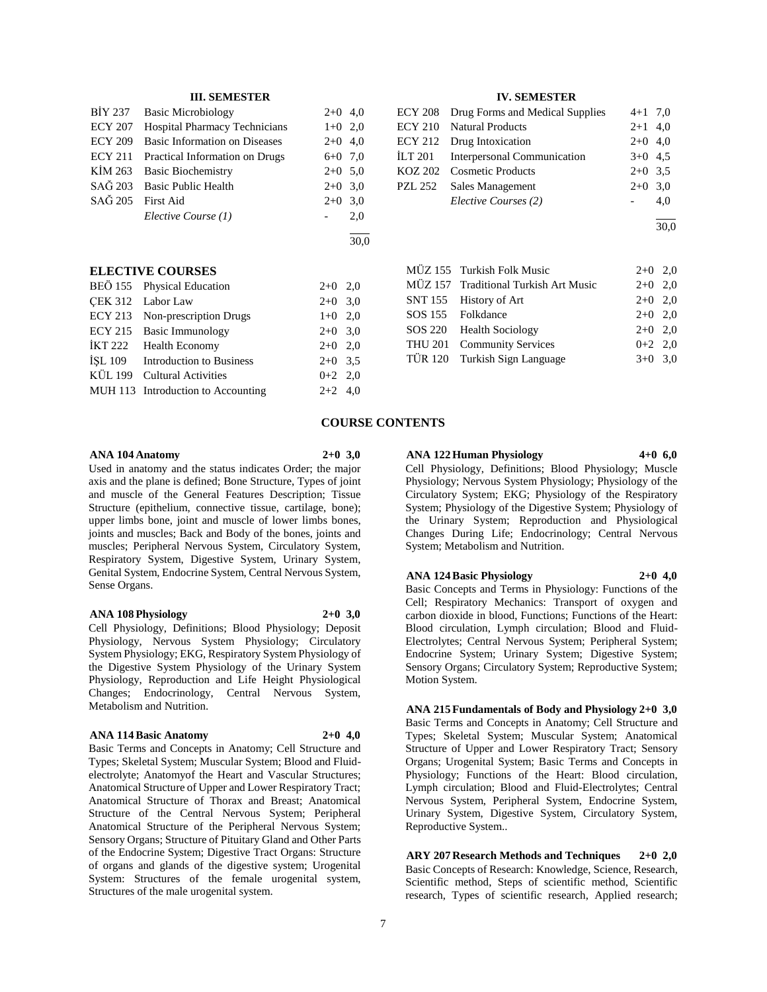|                   | BİY 237 Basic Microbiology             | $2+0$ 4,0 |     |
|-------------------|----------------------------------------|-----------|-----|
| ECY 207           | <b>Hospital Pharmacy Technicians</b>   | $1+0$ 2,0 |     |
|                   | ECY 209 Basic Information on Diseases  | $2+0$ 4,0 |     |
|                   | ECY 211 Practical Information on Drugs | $6+0$ 7,0 |     |
|                   | KIM 263 Basic Biochemistry             | $2+0$ 5.0 |     |
|                   | SAĞ 203 Basic Public Health            | $2+0$ 3,0 |     |
| SAĞ 205 First Aid |                                        | $2+0$ 3,0 |     |
|                   | Elective Course (1)                    |           | 2,0 |
|                   |                                        |           |     |

# **ELECTIVE COURSES**

| BEÖ 155 Physical Education         | $2+0$ 2,0 |  |
|------------------------------------|-----------|--|
| CEK 312 Labor Law                  | $2+0$ 3,0 |  |
| ECY 213 Non-prescription Drugs     | $1+0$ 2,0 |  |
| ECY 215 Basic Immunology           | $2+0$ 3.0 |  |
| IKT 222 Health Economy             | $2+0$ 2,0 |  |
| İŞL 109 Introduction to Business   | $2+0$ 3.5 |  |
| KÜL 199 Cultural Activities        | $0+2$ 2,0 |  |
| MUH 113 Introduction to Accounting | $2+2$ 4,0 |  |
|                                    |           |  |

#### **IV. SEMESTER**

| ECY 208 Drug Forms and Medical Supplies | $4+1$ 7,0 |     |
|-----------------------------------------|-----------|-----|
| ECY 210 Natural Products                | $2+1$ 4,0 |     |
| ECY 212 Drug Intoxication               | $2+0$ 4,0 |     |
| ILT 201 Interpersonal Communication     | $3+0$ 4.5 |     |
| KOZ 202 Cosmetic Products               | $2+0$ 3.5 |     |
| PZL 252 Sales Management                | $2+0$ 3.0 |     |
| Elective Courses (2)                    |           | 4.0 |
|                                         |           |     |

 $\frac{1}{30.0}$ 

|  | MÜZ 155 Turkish Folk Music            | $2+0$ 2,0 |  |
|--|---------------------------------------|-----------|--|
|  | MÜZ 157 Traditional Turkish Art Music | $2+0$ 2,0 |  |
|  | SNT 155 History of Art                | $2+0$ 2,0 |  |
|  | SOS 155 Folkdance                     | $2+0$ 2,0 |  |
|  | SOS 220 Health Sociology              | $2+0$ 2,0 |  |
|  | THU 201 Community Services            | $0+2$ 2,0 |  |
|  | TÜR 120 Turkish Sign Language         | $3+0$ 3.0 |  |
|  |                                       |           |  |

#### **COURSE CONTENTS**

#### **ANA 104 Anatomy 2+0 3,0**

 $\frac{1}{30.0}$ 

Used in anatomy and the status indicates Order; the major axis and the plane is defined; Bone Structure, Types of joint and muscle of the General Features Description; Tissue Structure (epithelium, connective tissue, cartilage, bone); upper limbs bone, joint and muscle of lower limbs bones, joints and muscles; Back and Body of the bones, joints and muscles; Peripheral Nervous System, Circulatory System, Respiratory System, Digestive System, Urinary System, Genital System, Endocrine System, Central Nervous System, Sense Organs.

#### **ANA 108 Physiology 2+0 3,0**

Cell Physiology, Definitions; Blood Physiology; Deposit Physiology, Nervous System Physiology; Circulatory System Physiology; EKG, Respiratory System Physiology of the Digestive System Physiology of the Urinary System Physiology, Reproduction and Life Height Physiological Changes; Endocrinology, Central Nervous System, Metabolism and Nutrition.

# **ANA 114 Basic Anatomy 2+0 4,0**

Basic Terms and Concepts in Anatomy; Cell Structure and Types; Skeletal System; Muscular System; Blood and Fluidelectrolyte; Anatomyof the Heart and Vascular Structures; Anatomical Structure of Upper and Lower Respiratory Tract; Anatomical Structure of Thorax and Breast; Anatomical Structure of the Central Nervous System; Peripheral Anatomical Structure of the Peripheral Nervous System; Sensory Organs; Structure of Pituitary Gland and Other Parts of the Endocrine System; Digestive Tract Organs: Structure of organs and glands of the digestive system; Urogenital System: Structures of the female urogenital system, Structures of the male urogenital system.

**ANA 122 Human Physiology 4+0 6,0**

Cell Physiology, Definitions; Blood Physiology; Muscle Physiology; Nervous System Physiology; Physiology of the Circulatory System; EKG; Physiology of the Respiratory System; Physiology of the Digestive System; Physiology of the Urinary System; Reproduction and Physiological Changes During Life; Endocrinology; Central Nervous System; Metabolism and Nutrition.

**ANA 124 Basic Physiology 2+0 4,0**

Basic Concepts and Terms in Physiology: Functions of the Cell; Respiratory Mechanics: Transport of oxygen and carbon dioxide in blood, Functions; Functions of the Heart: Blood circulation, Lymph circulation; Blood and Fluid-Electrolytes; Central Nervous System; Peripheral System; Endocrine System; Urinary System; Digestive System; Sensory Organs; Circulatory System; Reproductive System; Motion System.

**ANA 215 Fundamentals of Body and Physiology 2+0 3,0** Basic Terms and Concepts in Anatomy; Cell Structure and Types; Skeletal System; Muscular System; Anatomical Structure of Upper and Lower Respiratory Tract; Sensory Organs; Urogenital System; Basic Terms and Concepts in Physiology; Functions of the Heart: Blood circulation, Lymph circulation; Blood and Fluid-Electrolytes; Central Nervous System, Peripheral System, Endocrine System, Urinary System, Digestive System, Circulatory System, Reproductive System..

**ARY 207 Research Methods and Techniques 2+0 2,0** Basic Concepts of Research: Knowledge, Science, Research, Scientific method, Steps of scientific method, Scientific research, Types of scientific research, Applied research;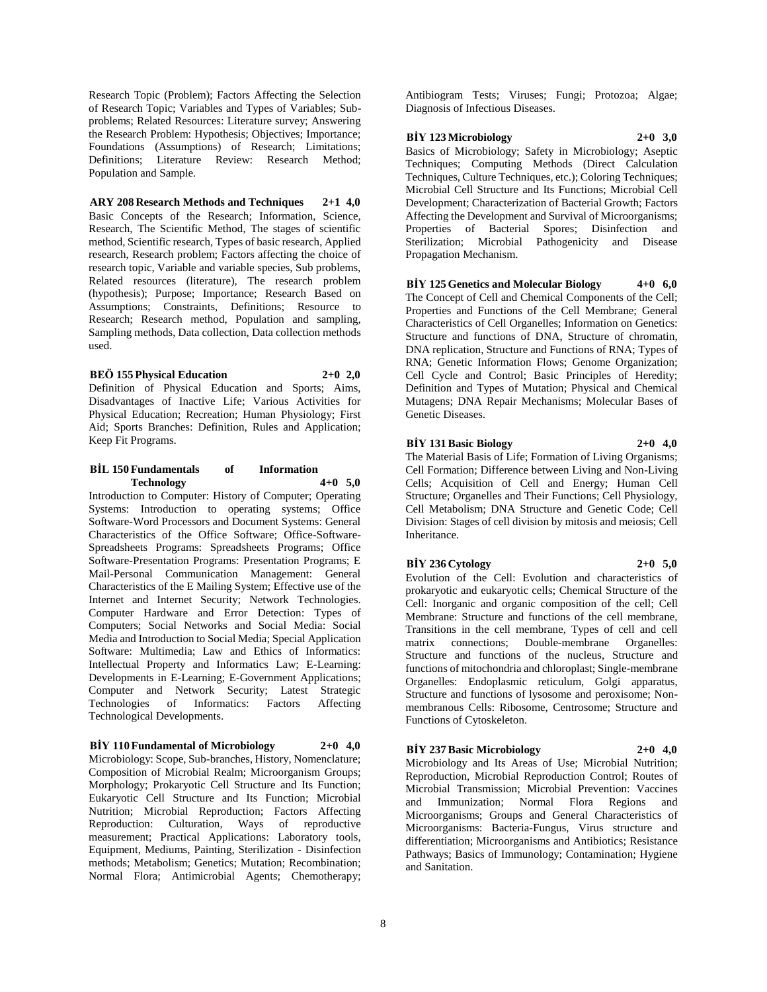Research Topic (Problem); Factors Affecting the Selection of Research Topic; Variables and Types of Variables; Subproblems; Related Resources: Literature survey; Answering the Research Problem: Hypothesis; Objectives; Importance; Foundations (Assumptions) of Research; Limitations; Definitions; Literature Review: Research Method; Population and Sample.

**ARY 208 Research Methods and Techniques 2+1 4,0** Basic Concepts of the Research; Information, Science, Research, The Scientific Method, The stages of scientific method, Scientific research, Types of basic research, Applied research, Research problem; Factors affecting the choice of research topic, Variable and variable species, Sub problems, Related resources (literature), The research problem (hypothesis); Purpose; Importance; Research Based on Assumptions; Constraints, Definitions; Resource to Research; Research method, Population and sampling, Sampling methods, Data collection, Data collection methods used.

#### **BEÖ 155 Physical Education 2+0 2,0**

Definition of Physical Education and Sports; Aims, Disadvantages of Inactive Life; Various Activities for Physical Education; Recreation; Human Physiology; First Aid; Sports Branches: Definition, Rules and Application; Keep Fit Programs.

#### **BİL 150 Fundamentals of Information Technology 4+0 5,0**

Introduction to Computer: History of Computer; Operating Systems: Introduction to operating systems; Office Software-Word Processors and Document Systems: General Characteristics of the Office Software; Office-Software-Spreadsheets Programs: Spreadsheets Programs; Office Software-Presentation Programs: Presentation Programs; E Mail-Personal Communication Management: General Characteristics of the E Mailing System; Effective use of the Internet and Internet Security; Network Technologies. Computer Hardware and Error Detection: Types of Computers; Social Networks and Social Media: Social Media and Introduction to Social Media; Special Application Software: Multimedia; Law and Ethics of Informatics: Intellectual Property and Informatics Law; E-Learning: Developments in E-Learning; E-Government Applications; Computer and Network Security; Latest Strategic Technologies of Informatics: Factors Affecting Technological Developments.

# **BİY 110 Fundamental of Microbiology 2+0 4,0**

Microbiology: Scope, Sub-branches, History, Nomenclature; Composition of Microbial Realm; Microorganism Groups; Morphology; Prokaryotic Cell Structure and Its Function; Eukaryotic Cell Structure and Its Function; Microbial Nutrition; Microbial Reproduction; Factors Affecting Reproduction: Culturation, Ways of reproductive measurement; Practical Applications: Laboratory tools, Equipment, Mediums, Painting, Sterilization - Disinfection methods; Metabolism; Genetics; Mutation; Recombination; Normal Flora; Antimicrobial Agents; Chemotherapy; Antibiogram Tests; Viruses; Fungi; Protozoa; Algae; Diagnosis of Infectious Diseases.

#### **BİY 123 Microbiology 2+0 3,0**

Basics of Microbiology; Safety in Microbiology; Aseptic Techniques; Computing Methods (Direct Calculation Techniques, Culture Techniques, etc.); Coloring Techniques; Microbial Cell Structure and Its Functions; Microbial Cell Development; Characterization of Bacterial Growth; Factors Affecting the Development and Survival of Microorganisms; Properties of Bacterial Spores; Disinfection and Sterilization; Microbial Pathogenicity and Disease Propagation Mechanism.

#### **BİY 125 Genetics and Molecular Biology 4+0 6,0** The Concept of Cell and Chemical Components of the Cell;

Properties and Functions of the Cell Membrane; General Characteristics of Cell Organelles; Information on Genetics: Structure and functions of DNA, Structure of chromatin, DNA replication, Structure and Functions of RNA; Types of RNA; Genetic Information Flows; Genome Organization; Cell Cycle and Control; Basic Principles of Heredity; Definition and Types of Mutation; Physical and Chemical Mutagens; DNA Repair Mechanisms; Molecular Bases of Genetic Diseases.

### **BİY 131 Basic Biology 2+0 4,0**

The Material Basis of Life; Formation of Living Organisms; Cell Formation; Difference between Living and Non-Living Cells; Acquisition of Cell and Energy; Human Cell Structure; Organelles and Their Functions; Cell Physiology, Cell Metabolism; DNA Structure and Genetic Code; Cell Division: Stages of cell division by mitosis and meiosis; Cell Inheritance.

# **BİY 236 Cytology 2+0 5,0**

Evolution of the Cell: Evolution and characteristics of prokaryotic and eukaryotic cells; Chemical Structure of the Cell: Inorganic and organic composition of the cell; Cell Membrane: Structure and functions of the cell membrane, Transitions in the cell membrane, Types of cell and cell matrix connections; Double-membrane Organelles: Structure and functions of the nucleus, Structure and functions of mitochondria and chloroplast; Single-membrane Organelles: Endoplasmic reticulum, Golgi apparatus, Structure and functions of lysosome and peroxisome; Nonmembranous Cells: Ribosome, Centrosome; Structure and Functions of Cytoskeleton.

#### **BİY 237 Basic Microbiology 2+0 4,0**

Microbiology and Its Areas of Use; Microbial Nutrition; Reproduction, Microbial Reproduction Control; Routes of Microbial Transmission; Microbial Prevention: Vaccines and Immunization; Normal Flora Regions and Microorganisms; Groups and General Characteristics of Microorganisms: Bacteria-Fungus, Virus structure and differentiation; Microorganisms and Antibiotics; Resistance Pathways; Basics of Immunology; Contamination; Hygiene and Sanitation.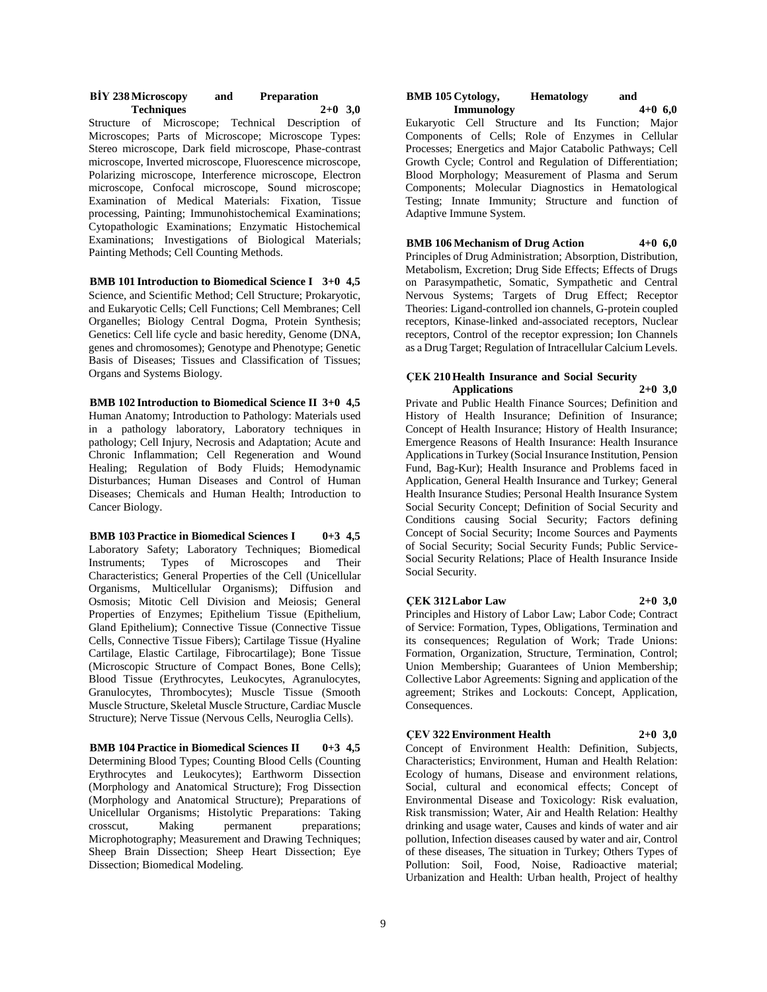|                   | <b>BIY 238 Microscopy</b> | and | <b>Preparation</b> |  |
|-------------------|---------------------------|-----|--------------------|--|
| <b>Techniques</b> |                           |     | $2+0$ 3,0          |  |

Structure of Microscope; Technical Description of Microscopes; Parts of Microscope; Microscope Types: Stereo microscope, Dark field microscope, Phase-contrast microscope, Inverted microscope, Fluorescence microscope, Polarizing microscope, Interference microscope, Electron microscope, Confocal microscope, Sound microscope; Examination of Medical Materials: Fixation, Tissue processing, Painting; Immunohistochemical Examinations; Cytopathologic Examinations; Enzymatic Histochemical Examinations; Investigations of Biological Materials; Painting Methods; Cell Counting Methods.

**BMB 101 Introduction to Biomedical Science I 3+0 4,5** Science, and Scientific Method; Cell Structure; Prokaryotic, and Eukaryotic Cells; Cell Functions; Cell Membranes; Cell Organelles; Biology Central Dogma, Protein Synthesis; Genetics: Cell life cycle and basic heredity, Genome (DNA, genes and chromosomes); Genotype and Phenotype; Genetic Basis of Diseases; Tissues and Classification of Tissues; Organs and Systems Biology.

**BMB 102 Introduction to Biomedical Science II 3+0 4,5** Human Anatomy; Introduction to Pathology: Materials used in a pathology laboratory, Laboratory techniques in pathology; Cell Injury, Necrosis and Adaptation; Acute and Chronic Inflammation; Cell Regeneration and Wound Healing; Regulation of Body Fluids; Hemodynamic Disturbances; Human Diseases and Control of Human Diseases; Chemicals and Human Health; Introduction to Cancer Biology.

**BMB 103 Practice in Biomedical Sciences I 0+3 4,5** Laboratory Safety; Laboratory Techniques; Biomedical Instruments; Types of Microscopes and Their Characteristics; General Properties of the Cell (Unicellular Organisms, Multicellular Organisms); Diffusion and Osmosis; Mitotic Cell Division and Meiosis; General Properties of Enzymes; Epithelium Tissue (Epithelium, Gland Epithelium); Connective Tissue (Connective Tissue Cells, Connective Tissue Fibers); Cartilage Tissue (Hyaline Cartilage, Elastic Cartilage, Fibrocartilage); Bone Tissue (Microscopic Structure of Compact Bones, Bone Cells); Blood Tissue (Erythrocytes, Leukocytes, Agranulocytes, Granulocytes, Thrombocytes); Muscle Tissue (Smooth Muscle Structure, Skeletal Muscle Structure, Cardiac Muscle Structure); Nerve Tissue (Nervous Cells, Neuroglia Cells).

**BMB 104 Practice in Biomedical Sciences II 0+3 4,5** Determining Blood Types; Counting Blood Cells (Counting Erythrocytes and Leukocytes); Earthworm Dissection (Morphology and Anatomical Structure); Frog Dissection (Morphology and Anatomical Structure); Preparations of Unicellular Organisms; Histolytic Preparations: Taking crosscut, Making permanent preparations; Microphotography; Measurement and Drawing Techniques; Sheep Brain Dissection; Sheep Heart Dissection; Eye Dissection; Biomedical Modeling.

#### **BMB 105 Cytology, Hematology** and **Immunology**  $4+0$  **6.0 Immunology 4+0 6,0**

Eukaryotic Cell Structure and Its Function; Major Components of Cells; Role of Enzymes in Cellular Processes; Energetics and Major Catabolic Pathways; Cell Growth Cycle; Control and Regulation of Differentiation; Blood Morphology; Measurement of Plasma and Serum Components; Molecular Diagnostics in Hematological Testing; Innate Immunity; Structure and function of Adaptive Immune System.

#### **BMB 106 Mechanism of Drug Action 4+0 6,0**

Principles of Drug Administration; Absorption, Distribution, Metabolism, Excretion; Drug Side Effects; Effects of Drugs on Parasympathetic, Somatic, Sympathetic and Central Nervous Systems; Targets of Drug Effect; Receptor Theories: Ligand-controlled ion channels, G-protein coupled receptors, Kinase-linked and-associated receptors, Nuclear receptors, Control of the receptor expression; Ion Channels as a Drug Target; Regulation of Intracellular Calcium Levels.

# **ÇEK 210 Health Insurance and Social Security**

**Applications 2+0 3,0** Private and Public Health Finance Sources; Definition and History of Health Insurance; Definition of Insurance; Concept of Health Insurance; History of Health Insurance; Emergence Reasons of Health Insurance: Health Insurance Applications in Turkey (Social Insurance Institution, Pension Fund, Bag-Kur); Health Insurance and Problems faced in Application, General Health Insurance and Turkey; General Health Insurance Studies; Personal Health Insurance System Social Security Concept; Definition of Social Security and Conditions causing Social Security; Factors defining Concept of Social Security; Income Sources and Payments of Social Security; Social Security Funds; Public Service-Social Security Relations; Place of Health Insurance Inside Social Security.

#### **ÇEK 312 Labor Law 2+0 3,0**

Principles and History of Labor Law; Labor Code; Contract of Service: Formation, Types, Obligations, Termination and its consequences; Regulation of Work; Trade Unions: Formation, Organization, Structure, Termination, Control; Union Membership; Guarantees of Union Membership; Collective Labor Agreements: Signing and application of the agreement; Strikes and Lockouts: Concept, Application, Consequences.

# **ÇEV 322 Environment Health 2+0 3,0**

Concept of Environment Health: Definition, Subjects, Characteristics; Environment, Human and Health Relation: Ecology of humans, Disease and environment relations, Social, cultural and economical effects; Concept of Environmental Disease and Toxicology: Risk evaluation, Risk transmission; Water, Air and Health Relation: Healthy drinking and usage water, Causes and kinds of water and air pollution, Infection diseases caused by water and air, Control of these diseases, The situation in Turkey; Others Types of Pollution: Soil, Food, Noise, Radioactive material; Urbanization and Health: Urban health, Project of healthy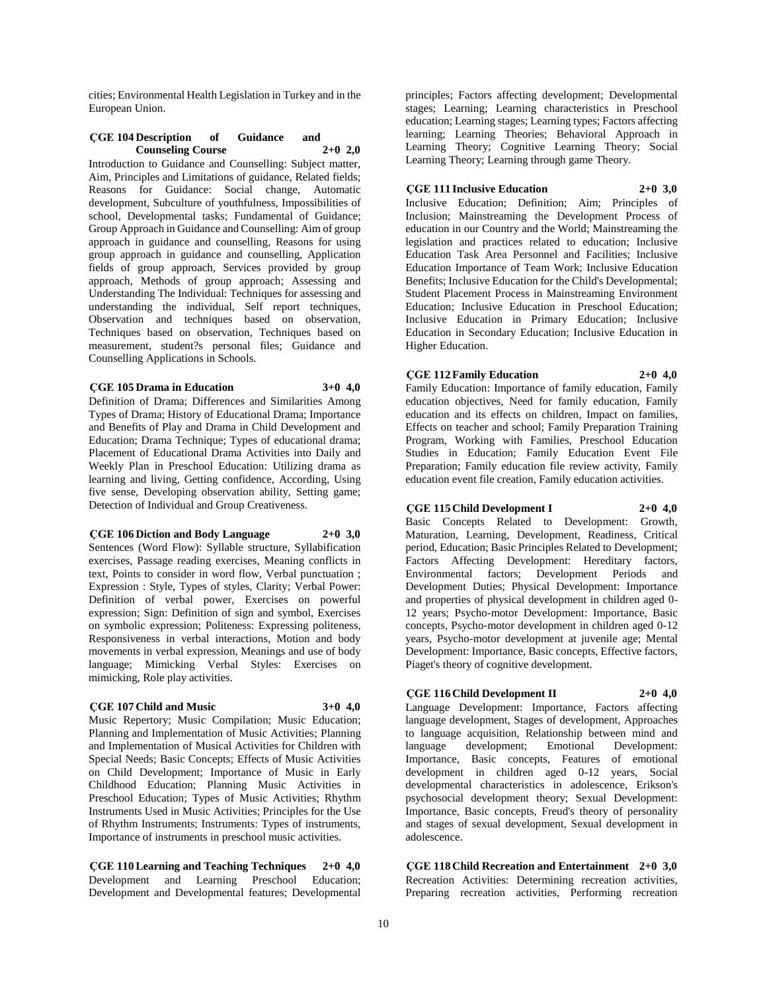cities; Environmental Health Legislation in Turkey and in the European Union.

#### **ÇGE 104 Description of Guidance and**   $$

Introduction to Guidance and Counselling: Subject matter, Aim, Principles and Limitations of guidance, Related fields; Reasons for Guidance: Social change, Automatic development, Subculture of youthfulness, Impossibilities of school, Developmental tasks; Fundamental of Guidance; Group Approach in Guidance and Counselling: Aim of group approach in guidance and counselling, Reasons for using group approach in guidance and counselling, Application fields of group approach, Services provided by group approach, Methods of group approach; Assessing and Understanding The Individual: Techniques for assessing and understanding the individual, Self report techniques, Observation and techniques based on observation, Techniques based on observation, Techniques based on measurement, student?s personal files; Guidance and Counselling Applications in Schools.

#### **ÇGE 105 Drama in Education 3+0 4,0**

Definition of Drama; Differences and Similarities Among Types of Drama; History of Educational Drama; Importance and Benefits of Play and Drama in Child Development and Education; Drama Technique; Types of educational drama; Placement of Educational Drama Activities into Daily and Weekly Plan in Preschool Education: Utilizing drama as learning and living, Getting confidence, According, Using five sense, Developing observation ability, Setting game; Detection of Individual and Group Creativeness.

#### **ÇGE 106 Diction and Body Language 2+0 3,0**

Sentences (Word Flow): Syllable structure, Syllabification exercises, Passage reading exercises, Meaning conflicts in text, Points to consider in word flow, Verbal punctuation ; Expression : Style, Types of styles, Clarity; Verbal Power: Definition of verbal power, Exercises on powerful expression; Sign: Definition of sign and symbol, Exercises on symbolic expression; Politeness: Expressing politeness, Responsiveness in verbal interactions, Motion and body movements in verbal expression, Meanings and use of body language; Mimicking Verbal Styles: Exercises on mimicking, Role play activities.

#### **ÇGE 107 Child and Music 3+0 4,0**

Music Repertory; Music Compilation; Music Education; Planning and Implementation of Music Activities; Planning and Implementation of Musical Activities for Children with Special Needs; Basic Concepts; Effects of Music Activities on Child Development; Importance of Music in Early Childhood Education; Planning Music Activities in Preschool Education; Types of Music Activities; Rhythm Instruments Used in Music Activities; Principles for the Use of Rhythm Instruments; Instruments: Types of instruments, Importance of instruments in preschool music activities.

**ÇGE 110 Learning and Teaching Techniques 2+0 4,0** Development and Learning Preschool Education; Development and Developmental features; Developmental

principles; Factors affecting development; Developmental stages; Learning; Learning characteristics in Preschool education; Learning stages; Learning types; Factors affecting learning; Learning Theories; Behavioral Approach in Learning Theory; Cognitive Learning Theory; Social Learning Theory; Learning through game Theory.

## **ÇGE 111 Inclusive Education 2+0 3,0**

Inclusive Education; Definition; Aim; Principles of Inclusion; Mainstreaming the Development Process of education in our Country and the World; Mainstreaming the legislation and practices related to education; Inclusive Education Task Area Personnel and Facilities; Inclusive Education Importance of Team Work; Inclusive Education Benefits; Inclusive Education for the Child's Developmental; Student Placement Process in Mainstreaming Environment Education; Inclusive Education in Preschool Education; Inclusive Education in Primary Education; Inclusive Education in Secondary Education; Inclusive Education in Higher Education.

## **ÇGE 112 Family Education 2+0 4,0**

Family Education: Importance of family education, Family education objectives, Need for family education, Family education and its effects on children, Impact on families, Effects on teacher and school; Family Preparation Training Program, Working with Families, Preschool Education Studies in Education; Family Education Event File Preparation; Family education file review activity, Family education event file creation, Family education activities.

## **ÇGE 115 Child Development I 2+0 4,0**

Basic Concepts Related to Development: Growth, Maturation, Learning, Development, Readiness, Critical period, Education; Basic Principles Related to Development; Factors Affecting Development: Hereditary factors, Environmental factors; Development Periods and Development Duties; Physical Development: Importance and properties of physical development in children aged 0- 12 years; Psycho-motor Development: Importance, Basic concepts, Psycho-motor development in children aged 0-12 years, Psycho-motor development at juvenile age; Mental Development: Importance, Basic concepts, Effective factors, Piaget's theory of cognitive development.

#### **ÇGE 116 Child Development II 2+0 4,0**

Language Development: Importance, Factors affecting language development, Stages of development, Approaches to language acquisition, Relationship between mind and language development; Emotional Development: language development; Emotional Development: Importance, Basic concepts, Features of emotional development in children aged 0-12 years, Social developmental characteristics in adolescence, Erikson's psychosocial development theory; Sexual Development: Importance, Basic concepts, Freud's theory of personality and stages of sexual development, Sexual development in adolescence.

**ÇGE 118 Child Recreation and Entertainment 2+0 3,0** Recreation Activities: Determining recreation activities, Preparing recreation activities, Performing recreation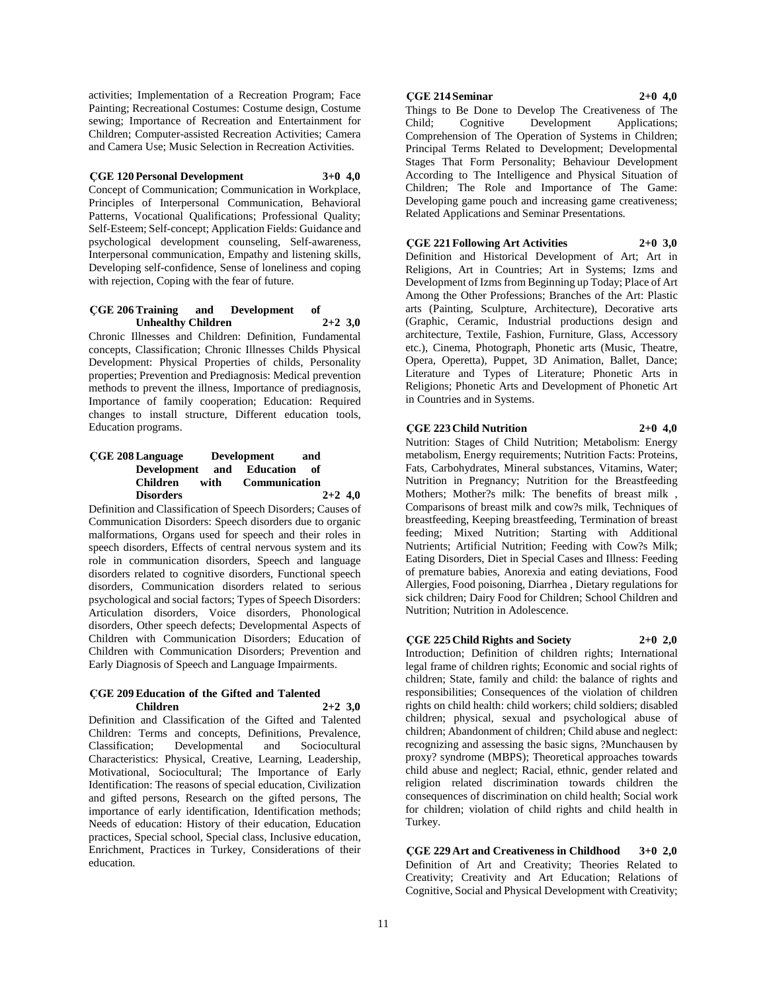activities; Implementation of a Recreation Program; Face Painting; Recreational Costumes: Costume design, Costume sewing; Importance of Recreation and Entertainment for Children; Computer-assisted Recreation Activities; Camera and Camera Use; Music Selection in Recreation Activities.

#### **ÇGE 120 Personal Development 3+0 4,0**

Concept of Communication; Communication in Workplace, Principles of Interpersonal Communication, Behavioral Patterns, Vocational Qualifications; Professional Quality; Self-Esteem; Self-concept; Application Fields: Guidance and psychological development counseling, Self-awareness, Interpersonal communication, Empathy and listening skills, Developing self-confidence, Sense of loneliness and coping with rejection, Coping with the fear of future.

#### **ÇGE 206 Training and Development of Unhealthy Children 2+2 3,0**

Chronic Illnesses and Children: Definition, Fundamental concepts, Classification; Chronic Illnesses Childs Physical Development: Physical Properties of childs, Personality properties; Prevention and Prediagnosis: Medical prevention methods to prevent the illness, Importance of prediagnosis, Importance of family cooperation; Education: Required changes to install structure, Different education tools, Education programs.

## **ÇGE 208 Language Development and Development and Education of Children with Communication Disorders 2+2 4,0**

Definition and Classification of Speech Disorders; Causes of Communication Disorders: Speech disorders due to organic malformations, Organs used for speech and their roles in speech disorders, Effects of central nervous system and its role in communication disorders, Speech and language disorders related to cognitive disorders, Functional speech disorders, Communication disorders related to serious psychological and social factors; Types of Speech Disorders: Articulation disorders, Voice disorders, Phonological disorders, Other speech defects; Developmental Aspects of Children with Communication Disorders; Education of Children with Communication Disorders; Prevention and Early Diagnosis of Speech and Language Impairments.

#### **ÇGE 209 Education of the Gifted and Talented Children 2+2 3,0**

Definition and Classification of the Gifted and Talented Children: Terms and concepts, Definitions, Prevalence, Classification; Developmental and Sociocultural Characteristics: Physical, Creative, Learning, Leadership, Motivational, Sociocultural; The Importance of Early Identification: The reasons of special education, Civilization and gifted persons, Research on the gifted persons, The importance of early identification, Identification methods; Needs of education: History of their education, Education practices, Special school, Special class, Inclusive education, Enrichment, Practices in Turkey, Considerations of their education.

#### **ÇGE 214 Seminar 2+0 4,0**

Things to Be Done to Develop The Creativeness of The Child; Cognitive Development Applications; Comprehension of The Operation of Systems in Children; Principal Terms Related to Development; Developmental Stages That Form Personality; Behaviour Development According to The Intelligence and Physical Situation of Children; The Role and Importance of The Game: Developing game pouch and increasing game creativeness; Related Applications and Seminar Presentations.

#### **ÇGE 221 Following Art Activities 2+0 3,0**

Definition and Historical Development of Art; Art in Religions, Art in Countries; Art in Systems; Izms and Development of Izms from Beginning up Today; Place of Art Among the Other Professions; Branches of the Art: Plastic arts (Painting, Sculpture, Architecture), Decorative arts (Graphic, Ceramic, Industrial productions design and architecture, Textile, Fashion, Furniture, Glass, Accessory etc.), Cinema, Photograph, Phonetic arts (Music, Theatre, Opera, Operetta), Puppet, 3D Animation, Ballet, Dance; Literature and Types of Literature; Phonetic Arts in Religions; Phonetic Arts and Development of Phonetic Art in Countries and in Systems.

#### **ÇGE 223 Child Nutrition 2+0 4,0**

Nutrition: Stages of Child Nutrition; Metabolism: Energy metabolism, Energy requirements; Nutrition Facts: Proteins, Fats, Carbohydrates, Mineral substances, Vitamins, Water; Nutrition in Pregnancy; Nutrition for the Breastfeeding Mothers; Mother?s milk: The benefits of breast milk , Comparisons of breast milk and cow?s milk, Techniques of breastfeeding, Keeping breastfeeding, Termination of breast feeding; Mixed Nutrition; Starting with Additional Nutrients; Artificial Nutrition; Feeding with Cow?s Milk; Eating Disorders, Diet in Special Cases and Illness: Feeding of premature babies, Anorexia and eating deviations, Food Allergies, Food poisoning, Diarrhea , Dietary regulations for sick children; Dairy Food for Children; School Children and Nutrition; Nutrition in Adolescence.

#### **ÇGE 225 Child Rights and Society 2+0 2,0**

Introduction; Definition of children rights; International legal frame of children rights; Economic and social rights of children; State, family and child: the balance of rights and responsibilities; Consequences of the violation of children rights on child health: child workers; child soldiers; disabled children; physical, sexual and psychological abuse of children; Abandonment of children; Child abuse and neglect: recognizing and assessing the basic signs, ?Munchausen by proxy? syndrome (MBPS); Theoretical approaches towards child abuse and neglect; Racial, ethnic, gender related and religion related discrimination towards children the consequences of discrimination on child health; Social work for children; violation of child rights and child health in Turkey.

**ÇGE 229 Art and Creativeness in Childhood 3+0 2,0** Definition of Art and Creativity; Theories Related to Creativity; Creativity and Art Education; Relations of Cognitive, Social and Physical Development with Creativity;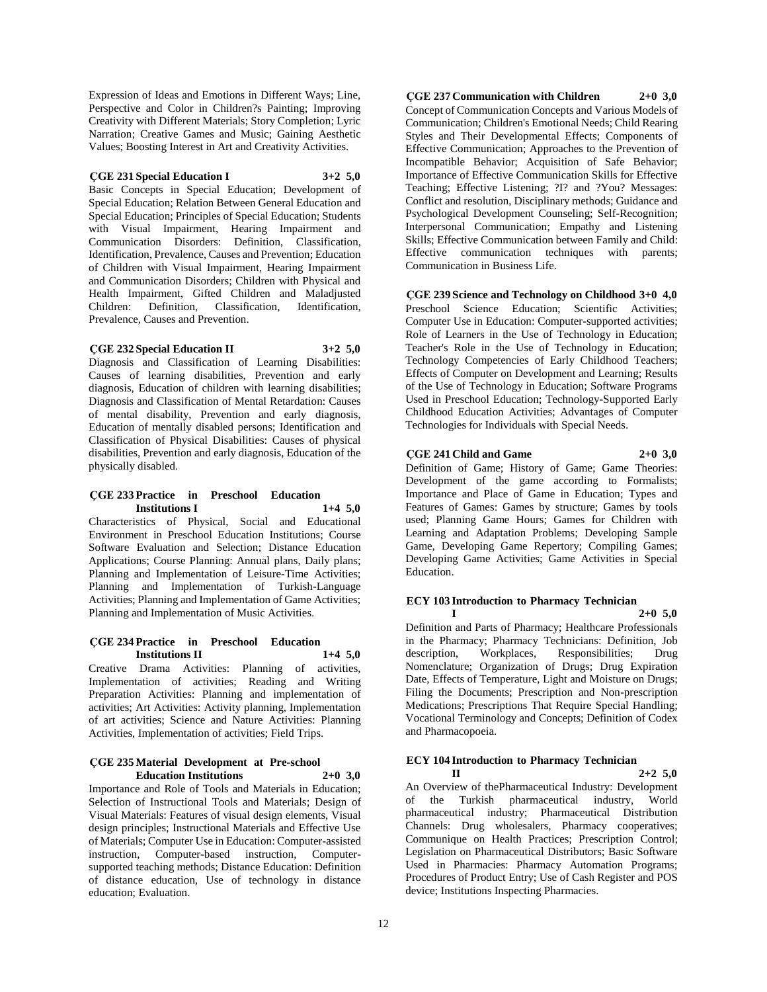Expression of Ideas and Emotions in Different Ways; Line, Perspective and Color in Children?s Painting; Improving Creativity with Different Materials; Story Completion; Lyric Narration; Creative Games and Music; Gaining Aesthetic Values; Boosting Interest in Art and Creativity Activities.

#### **ÇGE 231 Special Education I 3+2 5,0**

Basic Concepts in Special Education; Development of Special Education; Relation Between General Education and Special Education; Principles of Special Education; Students with Visual Impairment, Hearing Impairment and Communication Disorders: Definition, Classification, Identification, Prevalence, Causes and Prevention; Education of Children with Visual Impairment, Hearing Impairment and Communication Disorders; Children with Physical and Health Impairment, Gifted Children and Maladjusted Children: Definition, Classification, Identification, Prevalence, Causes and Prevention.

#### **ÇGE 232 Special Education II 3+2 5,0**

Diagnosis and Classification of Learning Disabilities: Causes of learning disabilities, Prevention and early diagnosis, Education of children with learning disabilities; Diagnosis and Classification of Mental Retardation: Causes of mental disability, Prevention and early diagnosis, Education of mentally disabled persons; Identification and Classification of Physical Disabilities: Causes of physical disabilities, Prevention and early diagnosis, Education of the physically disabled.

#### **ÇGE 233 Practice in Preschool Education Institutions I 1+4 5,0**

Characteristics of Physical, Social and Educational Environment in Preschool Education Institutions; Course Software Evaluation and Selection; Distance Education Applications; Course Planning: Annual plans, Daily plans; Planning and Implementation of Leisure-Time Activities; Planning and Implementation of Turkish-Language Activities; Planning and Implementation of Game Activities; Planning and Implementation of Music Activities.

#### **ÇGE 234 Practice in Preschool Education Institutions II 1+4 5,0**

Creative Drama Activities: Planning of activities, Implementation of activities; Reading and Writing Preparation Activities: Planning and implementation of activities; Art Activities: Activity planning, Implementation of art activities; Science and Nature Activities: Planning Activities, Implementation of activities; Field Trips.

#### **ÇGE 235 Material Development at Pre-school Education Institutions 2+0 3,0**

Importance and Role of Tools and Materials in Education; Selection of Instructional Tools and Materials; Design of Visual Materials: Features of visual design elements, Visual design principles; Instructional Materials and Effective Use of Materials; Computer Use in Education: Computer-assisted instruction, Computer-based instruction, Computersupported teaching methods; Distance Education: Definition of distance education, Use of technology in distance education; Evaluation.

**ÇGE 237 Communication with Children 2+0 3,0** Concept of Communication Concepts and Various Models of Communication; Children's Emotional Needs; Child Rearing Styles and Their Developmental Effects; Components of Effective Communication; Approaches to the Prevention of Incompatible Behavior; Acquisition of Safe Behavior; Importance of Effective Communication Skills for Effective Teaching; Effective Listening; ?I? and ?You? Messages: Conflict and resolution, Disciplinary methods; Guidance and Psychological Development Counseling; Self-Recognition; Interpersonal Communication; Empathy and Listening Skills; Effective Communication between Family and Child: Effective communication techniques with parents; Communication in Business Life.

**ÇGE 239 Science and Technology on Childhood 3+0 4,0** Preschool Science Education; Scientific Activities; Computer Use in Education: Computer-supported activities; Role of Learners in the Use of Technology in Education; Teacher's Role in the Use of Technology in Education; Technology Competencies of Early Childhood Teachers; Effects of Computer on Development and Learning; Results of the Use of Technology in Education; Software Programs Used in Preschool Education; Technology-Supported Early Childhood Education Activities; Advantages of Computer Technologies for Individuals with Special Needs.

# **ÇGE 241 Child and Game 2+0 3,0**

Definition of Game; History of Game; Game Theories: Development of the game according to Formalists; Importance and Place of Game in Education; Types and Features of Games: Games by structure; Games by tools used; Planning Game Hours; Games for Children with Learning and Adaptation Problems; Developing Sample Game, Developing Game Repertory; Compiling Games; Developing Game Activities; Game Activities in Special Education.

# **ECY 103 Introduction to Pharmacy Technician**

**I 2+0 5,0** Definition and Parts of Pharmacy; Healthcare Professionals in the Pharmacy; Pharmacy Technicians: Definition, Job description, Workplaces, Responsibilities; Drug Nomenclature; Organization of Drugs; Drug Expiration Date, Effects of Temperature, Light and Moisture on Drugs; Filing the Documents; Prescription and Non-prescription Medications; Prescriptions That Require Special Handling; Vocational Terminology and Concepts; Definition of Codex and Pharmacopoeia.

# **ECY 104 Introduction to Pharmacy Technician**

**II 2+2 5,0** An Overview of thePharmaceutical Industry: Development of the Turkish pharmaceutical industry, World pharmaceutical industry; Pharmaceutical Distribution Channels: Drug wholesalers, Pharmacy cooperatives; Communique on Health Practices; Prescription Control; Legislation on Pharmaceutical Distributors; Basic Software Used in Pharmacies: Pharmacy Automation Programs; Procedures of Product Entry; Use of Cash Register and POS device; Institutions Inspecting Pharmacies.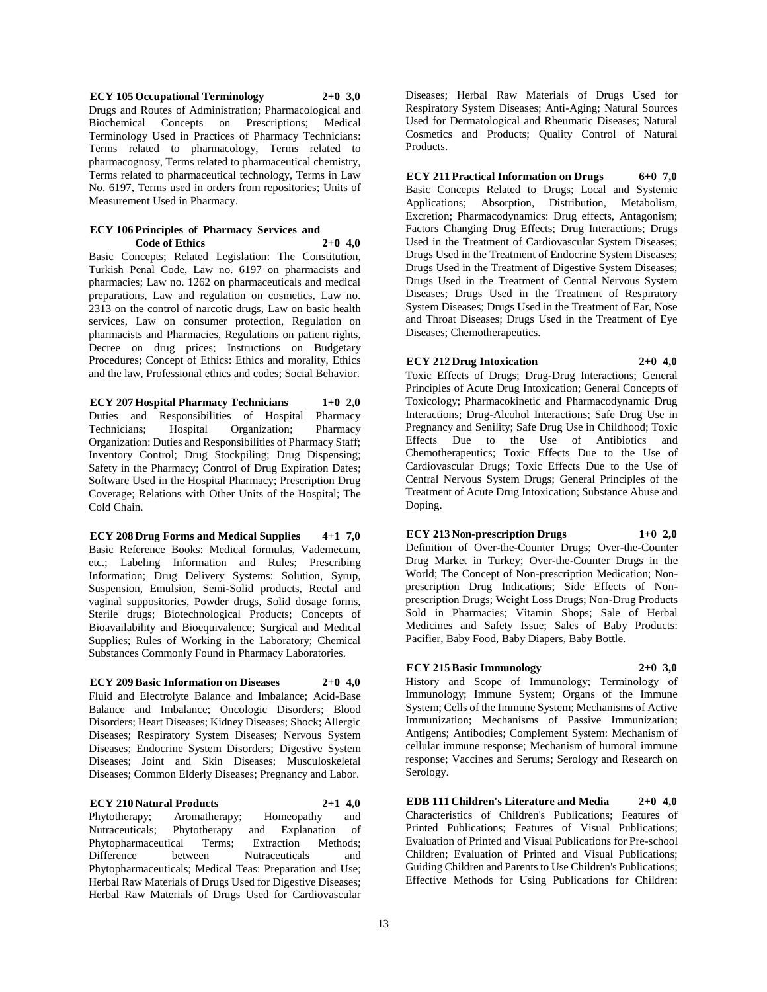**ECY 105 Occupational Terminology 2+0 3,0** Drugs and Routes of Administration; Pharmacological and Biochemical Concepts on Prescriptions; Medical Terminology Used in Practices of Pharmacy Technicians: Terms related to pharmacology, Terms related to pharmacognosy, Terms related to pharmaceutical chemistry, Terms related to pharmaceutical technology, Terms in Law No. 6197, Terms used in orders from repositories; Units of Measurement Used in Pharmacy.

#### **ECY** 106 Principles of Pharmacy Services and<br>Code of Ethics 2+0 4.0 **Code of Ethics 2+0 4,0**

Basic Concepts; Related Legislation: The Constitution, Turkish Penal Code, Law no. 6197 on pharmacists and pharmacies; Law no. 1262 on pharmaceuticals and medical preparations, Law and regulation on cosmetics, Law no. 2313 on the control of narcotic drugs, Law on basic health services, Law on consumer protection, Regulation on pharmacists and Pharmacies, Regulations on patient rights, Decree on drug prices; Instructions on Budgetary Procedures; Concept of Ethics: Ethics and morality, Ethics and the law, Professional ethics and codes; Social Behavior.

**ECY 207 Hospital Pharmacy Technicians 1+0 2,0** Duties and Responsibilities of Hospital Pharmacy Technicians; Hospital Organization; Pharmacy Organization: Duties and Responsibilities of Pharmacy Staff; Inventory Control; Drug Stockpiling; Drug Dispensing; Safety in the Pharmacy; Control of Drug Expiration Dates; Software Used in the Hospital Pharmacy; Prescription Drug Coverage; Relations with Other Units of the Hospital; The Cold Chain.

**ECY 208 Drug Forms and Medical Supplies 4+1 7,0** Basic Reference Books: Medical formulas, Vademecum, etc.; Labeling Information and Rules; Prescribing Information; Drug Delivery Systems: Solution, Syrup, Suspension, Emulsion, Semi-Solid products, Rectal and vaginal suppositories, Powder drugs, Solid dosage forms, Sterile drugs; Biotechnological Products; Concepts of Bioavailability and Bioequivalence; Surgical and Medical Supplies; Rules of Working in the Laboratory; Chemical Substances Commonly Found in Pharmacy Laboratories.

**ECY 209 Basic Information on Diseases 2+0 4,0** Fluid and Electrolyte Balance and Imbalance; Acid-Base Balance and Imbalance; Oncologic Disorders; Blood Disorders; Heart Diseases; Kidney Diseases; Shock; Allergic Diseases; Respiratory System Diseases; Nervous System Diseases; Endocrine System Disorders; Digestive System Diseases; Joint and Skin Diseases; Musculoskeletal Diseases; Common Elderly Diseases; Pregnancy and Labor.

**ECY 210 Natural Products 2+1 4,0** Phytotherapy; Aromatherapy; Homeopathy and Nutraceuticals; Phytotherapy and Explanation of Phytopharmaceutical Terms; Extraction Methods; between Nutraceuticals and Phytopharmaceuticals; Medical Teas: Preparation and Use; Herbal Raw Materials of Drugs Used for Digestive Diseases; Herbal Raw Materials of Drugs Used for Cardiovascular

Diseases; Herbal Raw Materials of Drugs Used for Respiratory System Diseases; Anti-Aging; Natural Sources Used for Dermatological and Rheumatic Diseases; Natural Cosmetics and Products; Quality Control of Natural Products.

**ECY 211 Practical Information on Drugs 6+0 7,0** Basic Concepts Related to Drugs; Local and Systemic Applications; Absorption, Distribution, Metabolism, Excretion; Pharmacodynamics: Drug effects, Antagonism; Factors Changing Drug Effects; Drug Interactions; Drugs Used in the Treatment of Cardiovascular System Diseases; Drugs Used in the Treatment of Endocrine System Diseases; Drugs Used in the Treatment of Digestive System Diseases; Drugs Used in the Treatment of Central Nervous System Diseases; Drugs Used in the Treatment of Respiratory System Diseases; Drugs Used in the Treatment of Ear, Nose and Throat Diseases; Drugs Used in the Treatment of Eye Diseases; Chemotherapeutics.

### **ECY 212 Drug Intoxication 2+0 4,0**

Toxic Effects of Drugs; Drug-Drug Interactions; General Principles of Acute Drug Intoxication; General Concepts of Toxicology; Pharmacokinetic and Pharmacodynamic Drug Interactions; Drug-Alcohol Interactions; Safe Drug Use in Pregnancy and Senility; Safe Drug Use in Childhood; Toxic Effects Due to the Use of Antibiotics and Chemotherapeutics; Toxic Effects Due to the Use of Cardiovascular Drugs; Toxic Effects Due to the Use of Central Nervous System Drugs; General Principles of the Treatment of Acute Drug Intoxication; Substance Abuse and Doping.

**ECY 213 Non-prescription Drugs 1+0 2,0** Definition of Over-the-Counter Drugs; Over-the-Counter Drug Market in Turkey; Over-the-Counter Drugs in the World; The Concept of Non-prescription Medication; Nonprescription Drug Indications; Side Effects of Nonprescription Drugs; Weight Loss Drugs; Non-Drug Products Sold in Pharmacies; Vitamin Shops; Sale of Herbal Medicines and Safety Issue; Sales of Baby Products: Pacifier, Baby Food, Baby Diapers, Baby Bottle.

#### **ECY 215Basic Immunology 2+0 3,0** History and Scope of Immunology; Terminology of Immunology; Immune System; Organs of the Immune System; Cells of the Immune System; Mechanisms of Active Immunization; Mechanisms of Passive Immunization; Antigens; Antibodies; Complement System: Mechanism of cellular immune response; Mechanism of humoral immune response; Vaccines and Serums; Serology and Research on Serology.

**EDB 111 Children's Literature and Media 2+0 4,0** Characteristics of Children's Publications; Features of Printed Publications; Features of Visual Publications; Evaluation of Printed and Visual Publications for Pre-school Children; Evaluation of Printed and Visual Publications; Guiding Children and Parents to Use Children's Publications; Effective Methods for Using Publications for Children: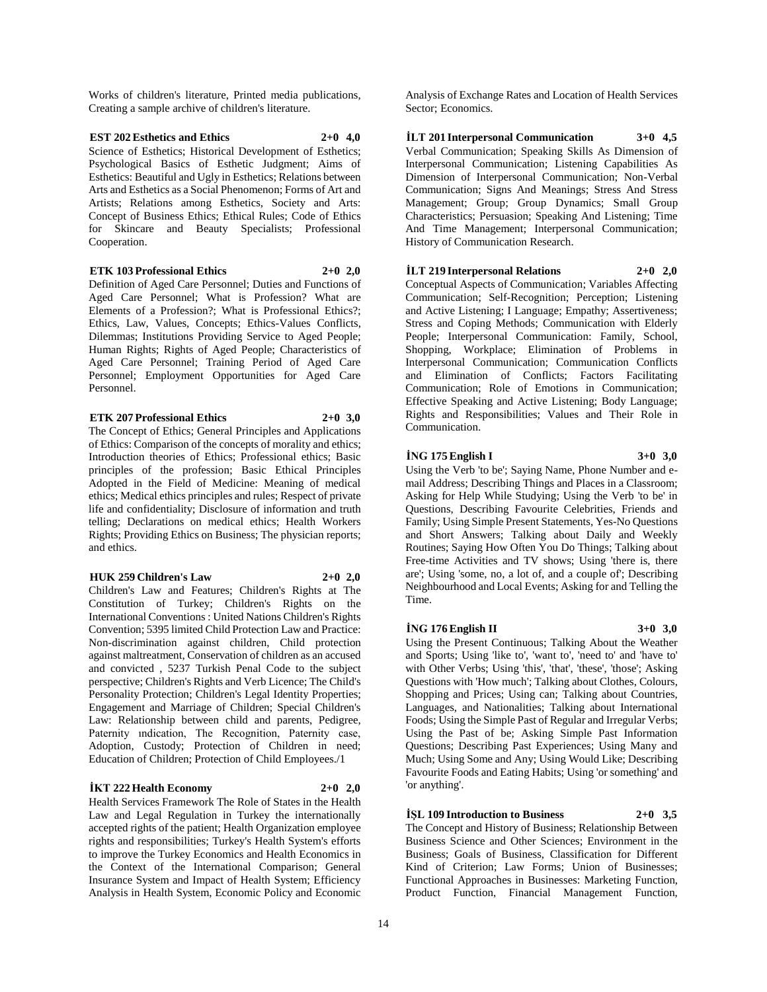Works of children's literature, Printed media publications, Creating a sample archive of children's literature.

### **EST 202 Esthetics and Ethics 2+0 4,0** Science of Esthetics; Historical Development of Esthetics; Psychological Basics of Esthetic Judgment; Aims of Esthetics: Beautiful and Ugly in Esthetics; Relations between Arts and Esthetics as a Social Phenomenon; Forms of Art and Artists; Relations among Esthetics, Society and Arts: Concept of Business Ethics; Ethical Rules; Code of Ethics for Skincare and Beauty Specialists; Professional Cooperation.

#### **ETK 103 Professional Ethics 2+0 2,0**

Definition of Aged Care Personnel; Duties and Functions of Aged Care Personnel; What is Profession? What are Elements of a Profession?; What is Professional Ethics?; Ethics, Law, Values, Concepts; Ethics-Values Conflicts, Dilemmas; Institutions Providing Service to Aged People; Human Rights; Rights of Aged People; Characteristics of Aged Care Personnel; Training Period of Aged Care Personnel; Employment Opportunities for Aged Care Personnel.

#### **ETK 207 Professional Ethics 2+0 3,0**

The Concept of Ethics; General Principles and Applications of Ethics: Comparison of the concepts of morality and ethics; Introduction theories of Ethics; Professional ethics; Basic principles of the profession; Basic Ethical Principles Adopted in the Field of Medicine: Meaning of medical ethics; Medical ethics principles and rules; Respect of private life and confidentiality; Disclosure of information and truth telling; Declarations on medical ethics; Health Workers Rights; Providing Ethics on Business; The physician reports; and ethics.

#### **HUK 259 Children's Law 2+0 2,0**

Children's Law and Features; Children's Rights at The Constitution of Turkey; Children's Rights on the International Conventions : United Nations Children's Rights Convention; 5395 limited Child Protection Law and Practice: Non-discrimination against children, Child protection against maltreatment, Conservation of children as an accused and convicted , 5237 Turkish Penal Code to the subject perspective; Children's Rights and Verb Licence; The Child's Personality Protection; Children's Legal Identity Properties; Engagement and Marriage of Children; Special Children's Law: Relationship between child and parents, Pedigree, Paternity ındication, The Recognition, Paternity case, Adoption, Custody; Protection of Children in need; Education of Children; Protection of Child Employees./1

# **İKT 222 Health Economy 2+0 2,0**

Health Services Framework The Role of States in the Health Law and Legal Regulation in Turkey the internationally accepted rights of the patient; Health Organization employee rights and responsibilities; Turkey's Health System's efforts to improve the Turkey Economics and Health Economics in the Context of the International Comparison; General Insurance System and Impact of Health System; Efficiency Analysis in Health System, Economic Policy and Economic Analysis of Exchange Rates and Location of Health Services Sector; Economics.

**İLT 201 Interpersonal Communication 3+0 4,5** Verbal Communication; Speaking Skills As Dimension of Interpersonal Communication; Listening Capabilities As Dimension of Interpersonal Communication; Non-Verbal Communication; Signs And Meanings; Stress And Stress Management; Group; Group Dynamics; Small Group Characteristics; Persuasion; Speaking And Listening; Time And Time Management; Interpersonal Communication; History of Communication Research.

### **İLT 219 Interpersonal Relations 2+0 2,0**

Conceptual Aspects of Communication; Variables Affecting Communication; Self-Recognition; Perception; Listening and Active Listening; I Language; Empathy; Assertiveness; Stress and Coping Methods; Communication with Elderly People; Interpersonal Communication: Family, School, Shopping, Workplace; Elimination of Problems in Interpersonal Communication; Communication Conflicts and Elimination of Conflicts; Factors Facilitating Communication; Role of Emotions in Communication; Effective Speaking and Active Listening; Body Language; Rights and Responsibilities; Values and Their Role in Communication.

### **İNG 175 English I 3+0 3,0**

Using the Verb 'to be'; Saying Name, Phone Number and email Address; Describing Things and Places in a Classroom; Asking for Help While Studying; Using the Verb 'to be' in Questions, Describing Favourite Celebrities, Friends and Family; Using Simple Present Statements, Yes-No Questions and Short Answers; Talking about Daily and Weekly Routines; Saying How Often You Do Things; Talking about Free-time Activities and TV shows; Using 'there is, there are'; Using 'some, no, a lot of, and a couple of'; Describing Neighbourhood and Local Events; Asking for and Telling the Time.

# **İNG 176 English II 3+0 3,0**

Using the Present Continuous; Talking About the Weather and Sports; Using 'like to', 'want to', 'need to' and 'have to' with Other Verbs; Using 'this', 'that', 'these', 'those'; Asking Questions with 'How much'; Talking about Clothes, Colours, Shopping and Prices; Using can; Talking about Countries, Languages, and Nationalities; Talking about International Foods; Using the Simple Past of Regular and Irregular Verbs; Using the Past of be; Asking Simple Past Information Questions; Describing Past Experiences; Using Many and Much; Using Some and Any; Using Would Like; Describing Favourite Foods and Eating Habits; Using 'or something' and 'or anything'.

**İŞL 109 Introduction to Business 2+0 3,5** The Concept and History of Business; Relationship Between Business Science and Other Sciences; Environment in the Business; Goals of Business, Classification for Different Kind of Criterion; Law Forms; Union of Businesses; Functional Approaches in Businesses: Marketing Function, Product Function, Financial Management Function,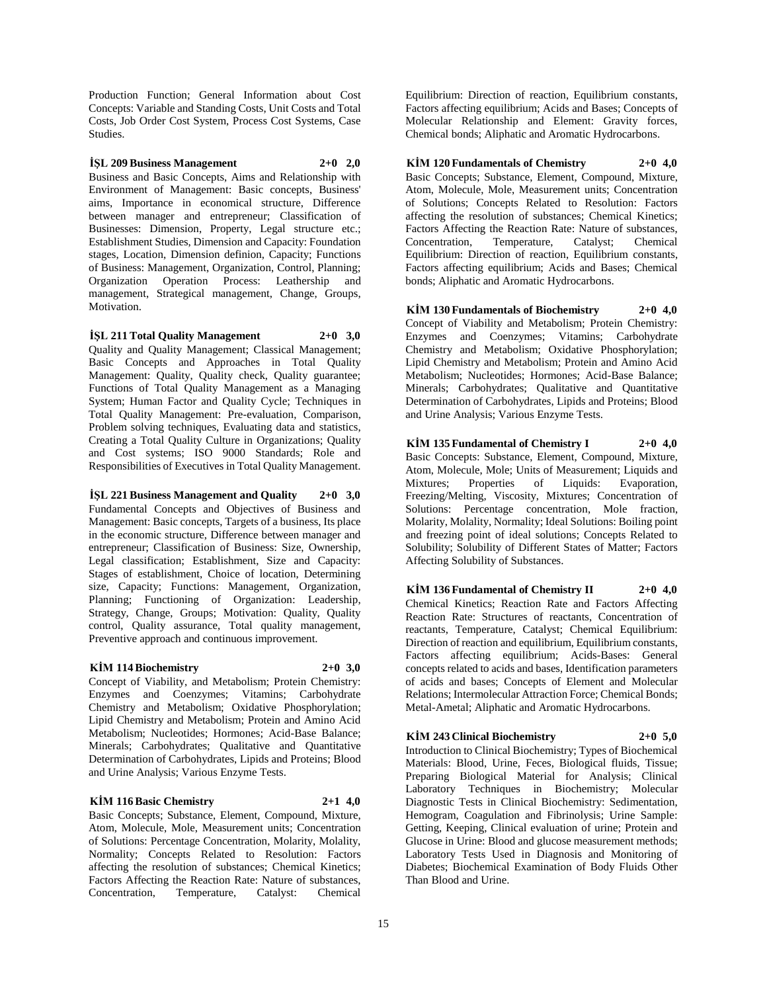Production Function; General Information about Cost Concepts: Variable and Standing Costs, Unit Costs and Total Costs, Job Order Cost System, Process Cost Systems, Case Studies.

**İŞL 209 Business Management 2+0 2,0** Business and Basic Concepts, Aims and Relationship with Environment of Management: Basic concepts, Business' aims, Importance in economical structure, Difference between manager and entrepreneur; Classification of Businesses: Dimension, Property, Legal structure etc.; Establishment Studies, Dimension and Capacity: Foundation stages, Location, Dimension definion, Capacity; Functions of Business: Management, Organization, Control, Planning; Organization Operation Process: Leathership and management, Strategical management, Change, Groups, Motivation.

# **İŞL 211 Total Quality Management 2+0 3,0**

Quality and Quality Management; Classical Management; Basic Concepts and Approaches in Total Quality Management: Quality, Quality check, Quality guarantee; Functions of Total Quality Management as a Managing System; Human Factor and Quality Cycle; Techniques in Total Quality Management: Pre-evaluation, Comparison, Problem solving techniques, Evaluating data and statistics, Creating a Total Quality Culture in Organizations; Quality and Cost systems; ISO 9000 Standards; Role and Responsibilities of Executives in Total Quality Management.

**İŞL 221 Business Management and Quality 2+0 3,0**

Fundamental Concepts and Objectives of Business and Management: Basic concepts, Targets of a business, Its place in the economic structure, Difference between manager and entrepreneur; Classification of Business: Size, Ownership, Legal classification; Establishment, Size and Capacity: Stages of establishment, Choice of location, Determining size, Capacity; Functions: Management, Organization, Planning; Functioning of Organization: Leadership, Strategy, Change, Groups; Motivation: Quality, Quality control, Quality assurance, Total quality management, Preventive approach and continuous improvement.

#### **KİM 114 Biochemistry 2+0 3,0**

Concept of Viability, and Metabolism; Protein Chemistry: Enzymes and Coenzymes; Vitamins; Carbohydrate Chemistry and Metabolism; Oxidative Phosphorylation; Lipid Chemistry and Metabolism; Protein and Amino Acid Metabolism; Nucleotides; Hormones; Acid-Base Balance; Minerals; Carbohydrates; Qualitative and Quantitative Determination of Carbohydrates, Lipids and Proteins; Blood and Urine Analysis; Various Enzyme Tests.

#### **KİM 116 Basic Chemistry 2+1 4,0**

Basic Concepts; Substance, Element, Compound, Mixture, Atom, Molecule, Mole, Measurement units; Concentration of Solutions: Percentage Concentration, Molarity, Molality, Normality; Concepts Related to Resolution: Factors affecting the resolution of substances; Chemical Kinetics; Factors Affecting the Reaction Rate: Nature of substances, Concentration, Temperature, Catalyst: Chemical

Equilibrium: Direction of reaction, Equilibrium constants, Factors affecting equilibrium; Acids and Bases; Concepts of Molecular Relationship and Element: Gravity forces, Chemical bonds; Aliphatic and Aromatic Hydrocarbons.

**KİM 120 Fundamentals of Chemistry 2+0 4,0** Basic Concepts; Substance, Element, Compound, Mixture, Atom, Molecule, Mole, Measurement units; Concentration of Solutions; Concepts Related to Resolution: Factors affecting the resolution of substances; Chemical Kinetics; Factors Affecting the Reaction Rate: Nature of substances, Concentration, Temperature, Catalyst; Chemical Equilibrium: Direction of reaction, Equilibrium constants, Factors affecting equilibrium; Acids and Bases; Chemical bonds; Aliphatic and Aromatic Hydrocarbons.

**KİM 130 Fundamentals of Biochemistry 2+0 4,0** Concept of Viability and Metabolism; Protein Chemistry: Enzymes and Coenzymes; Vitamins; Carbohydrate Chemistry and Metabolism; Oxidative Phosphorylation; Lipid Chemistry and Metabolism; Protein and Amino Acid Metabolism; Nucleotides; Hormones; Acid-Base Balance; Minerals; Carbohydrates; Qualitative and Quantitative Determination of Carbohydrates, Lipids and Proteins; Blood and Urine Analysis; Various Enzyme Tests.

**KİM 135 Fundamental of Chemistry I 2+0 4,0** Basic Concepts: Substance, Element, Compound, Mixture, Atom, Molecule, Mole; Units of Measurement; Liquids and Mixtures; Properties of Liquids: Evaporation, Freezing/Melting, Viscosity, Mixtures; Concentration of Solutions: Percentage concentration, Mole fraction, Molarity, Molality, Normality; Ideal Solutions: Boiling point and freezing point of ideal solutions; Concepts Related to Solubility; Solubility of Different States of Matter; Factors Affecting Solubility of Substances.

**KİM 136 Fundamental of Chemistry II 2+0 4,0** Chemical Kinetics; Reaction Rate and Factors Affecting Reaction Rate: Structures of reactants, Concentration of reactants, Temperature, Catalyst; Chemical Equilibrium: Direction of reaction and equilibrium, Equilibrium constants, Factors affecting equilibrium; Acids-Bases: General concepts related to acids and bases, Identification parameters of acids and bases; Concepts of Element and Molecular Relations; Intermolecular Attraction Force; Chemical Bonds; Metal-Ametal; Aliphatic and Aromatic Hydrocarbons.

#### **KİM 243 Clinical Biochemistry 2+0 5,0**

Introduction to Clinical Biochemistry; Types of Biochemical Materials: Blood, Urine, Feces, Biological fluids, Tissue; Preparing Biological Material for Analysis; Clinical Laboratory Techniques in Biochemistry; Molecular Diagnostic Tests in Clinical Biochemistry: Sedimentation, Hemogram, Coagulation and Fibrinolysis; Urine Sample: Getting, Keeping, Clinical evaluation of urine; Protein and Glucose in Urine: Blood and glucose measurement methods; Laboratory Tests Used in Diagnosis and Monitoring of Diabetes; Biochemical Examination of Body Fluids Other Than Blood and Urine.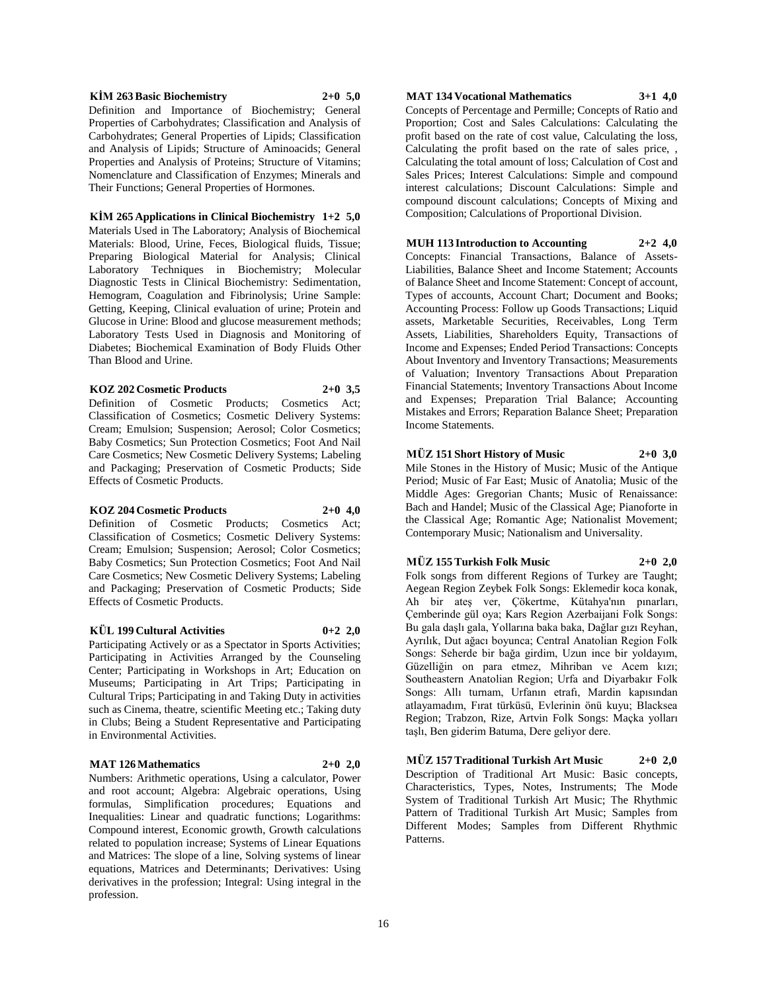#### **KİM 263 Basic Biochemistry 2+0 5,0**

Definition and Importance of Biochemistry; General Properties of Carbohydrates; Classification and Analysis of Carbohydrates; General Properties of Lipids; Classification and Analysis of Lipids; Structure of Aminoacids; General Properties and Analysis of Proteins; Structure of Vitamins; Nomenclature and Classification of Enzymes; Minerals and Their Functions; General Properties of Hormones.

#### **KİM 265 Applications in Clinical Biochemistry 1+2 5,0**

Materials Used in The Laboratory; Analysis of Biochemical Materials: Blood, Urine, Feces, Biological fluids, Tissue; Preparing Biological Material for Analysis; Clinical Laboratory Techniques in Biochemistry; Molecular Diagnostic Tests in Clinical Biochemistry: Sedimentation, Hemogram, Coagulation and Fibrinolysis; Urine Sample: Getting, Keeping, Clinical evaluation of urine; Protein and Glucose in Urine: Blood and glucose measurement methods; Laboratory Tests Used in Diagnosis and Monitoring of Diabetes; Biochemical Examination of Body Fluids Other Than Blood and Urine.

#### **KOZ 202 Cosmetic Products 2+0 3,5**

Definition of Cosmetic Products; Cosmetics Act; Classification of Cosmetics; Cosmetic Delivery Systems: Cream; Emulsion; Suspension; Aerosol; Color Cosmetics; Baby Cosmetics; Sun Protection Cosmetics; Foot And Nail Care Cosmetics; New Cosmetic Delivery Systems; Labeling and Packaging; Preservation of Cosmetic Products; Side Effects of Cosmetic Products.

# **KOZ 204 Cosmetic Products 2+0 4,0**

Definition of Cosmetic Products; Cosmetics Act; Classification of Cosmetics; Cosmetic Delivery Systems: Cream; Emulsion; Suspension; Aerosol; Color Cosmetics; Baby Cosmetics; Sun Protection Cosmetics; Foot And Nail Care Cosmetics; New Cosmetic Delivery Systems; Labeling and Packaging; Preservation of Cosmetic Products; Side Effects of Cosmetic Products.

# **KÜL 199 Cultural Activities 0+2 2,0**

Participating Actively or as a Spectator in Sports Activities; Participating in Activities Arranged by the Counseling Center; Participating in Workshops in Art; Education on Museums; Participating in Art Trips; Participating in Cultural Trips; Participating in and Taking Duty in activities such as Cinema, theatre, scientific Meeting etc.; Taking duty in Clubs; Being a Student Representative and Participating in Environmental Activities.

# **MAT 126 Mathematics 2+0 2,0**

Numbers: Arithmetic operations, Using a calculator, Power and root account; Algebra: Algebraic operations, Using formulas, Simplification procedures; Equations and Inequalities: Linear and quadratic functions; Logarithms: Compound interest, Economic growth, Growth calculations related to population increase; Systems of Linear Equations and Matrices: The slope of a line, Solving systems of linear equations, Matrices and Determinants; Derivatives: Using derivatives in the profession; Integral: Using integral in the profession.

# **MAT 134 Vocational Mathematics 3+1 4,0**

Concepts of Percentage and Permille; Concepts of Ratio and Proportion; Cost and Sales Calculations: Calculating the profit based on the rate of cost value, Calculating the loss, Calculating the profit based on the rate of sales price, , Calculating the total amount of loss; Calculation of Cost and Sales Prices; Interest Calculations: Simple and compound interest calculations; Discount Calculations: Simple and compound discount calculations; Concepts of Mixing and Composition; Calculations of Proportional Division.

#### **MUH 113 Introduction to Accounting 2+2 4,0** Concepts: Financial Transactions, Balance of Assets-Liabilities, Balance Sheet and Income Statement; Accounts of Balance Sheet and Income Statement: Concept of account, Types of accounts, Account Chart; Document and Books; Accounting Process: Follow up Goods Transactions; Liquid assets, Marketable Securities, Receivables, Long Term Assets, Liabilities, Shareholders Equity, Transactions of Income and Expenses; Ended Period Transactions: Concepts About Inventory and Inventory Transactions; Measurements of Valuation; Inventory Transactions About Preparation Financial Statements; Inventory Transactions About Income and Expenses; Preparation Trial Balance; Accounting Mistakes and Errors; Reparation Balance Sheet; Preparation Income Statements.

# **MÜZ 151 Short History of Music 2+0 3,0**

Mile Stones in the History of Music; Music of the Antique Period; Music of Far East; Music of Anatolia; Music of the Middle Ages: Gregorian Chants; Music of Renaissance: Bach and Handel; Music of the Classical Age; Pianoforte in the Classical Age; Romantic Age; Nationalist Movement; Contemporary Music; Nationalism and Universality.

#### **MÜZ 155 Turkish Folk Music 2+0 2,0**

Folk songs from different Regions of Turkey are Taught; Aegean Region Zeybek Folk Songs: Eklemedir koca konak, Ah bir ateş ver, Çökertme, Kütahya'nın pınarları, Çemberinde gül oya; Kars Region Azerbaijani Folk Songs: Bu gala daşlı gala, Yollarına baka baka, Dağlar gızı Reyhan, Ayrılık, Dut ağacı boyunca; Central Anatolian Region Folk Songs: Seherde bir bağa girdim, Uzun ince bir yoldayım, Güzelliğin on para etmez, Mihriban ve Acem kızı; Southeastern Anatolian Region; Urfa and Diyarbakır Folk Songs: Allı turnam, Urfanın etrafı, Mardin kapısından atlayamadım, Fırat türküsü, Evlerinin önü kuyu; Blacksea Region; Trabzon, Rize, Artvin Folk Songs: Maçka yolları taşlı, Ben giderim Batuma, Dere geliyor dere.

**MÜZ 157 Traditional Turkish Art Music 2+0 2,0** Description of Traditional Art Music: Basic concepts, Characteristics, Types, Notes, Instruments; The Mode System of Traditional Turkish Art Music; The Rhythmic Pattern of Traditional Turkish Art Music; Samples from Different Modes; Samples from Different Rhythmic Patterns.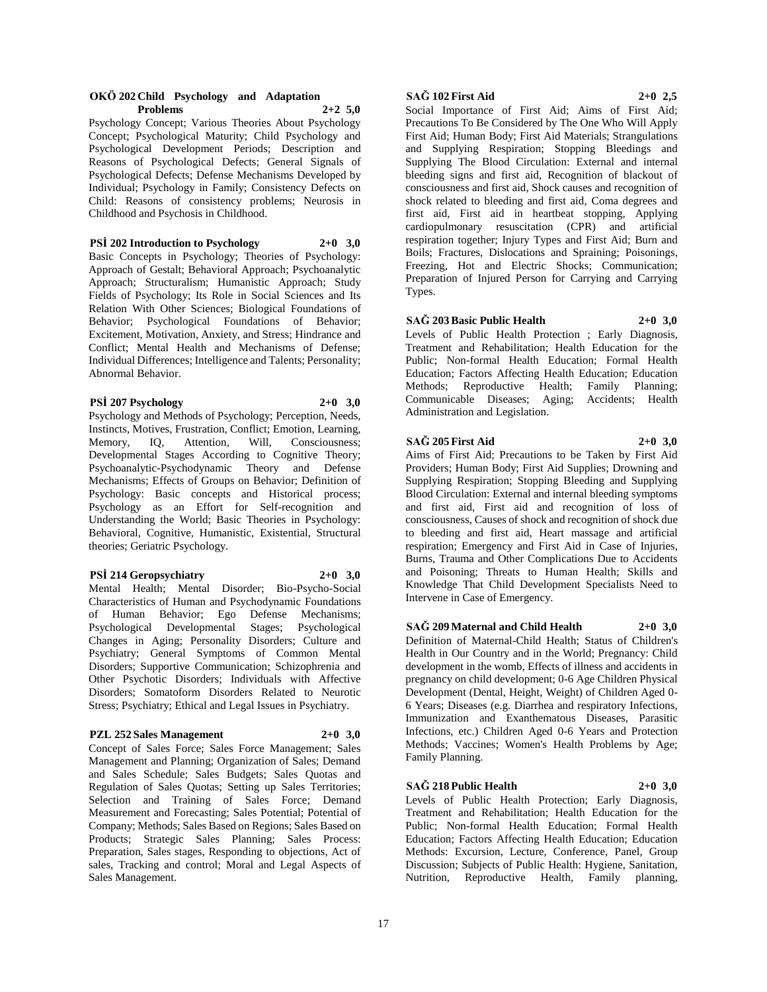#### **OKÖ 202 Child Psychology and Adaptation Problems 2+2 5,0**

Psychology Concept; Various Theories About Psychology Concept; Psychological Maturity; Child Psychology and Psychological Development Periods; Description and Reasons of Psychological Defects; General Signals of Psychological Defects; Defense Mechanisms Developed by Individual; Psychology in Family; Consistency Defects on Child: Reasons of consistency problems; Neurosis in Childhood and Psychosis in Childhood.

#### **PSİ 202 Introduction to Psychology 2+0 3,0**

Basic Concepts in Psychology; Theories of Psychology: Approach of Gestalt; Behavioral Approach; Psychoanalytic Approach; Structuralism; Humanistic Approach; Study Fields of Psychology; Its Role in Social Sciences and Its Relation With Other Sciences; Biological Foundations of Behavior; Psychological Foundations of Behavior; Excitement, Motivation, Anxiety, and Stress; Hindrance and Conflict; Mental Health and Mechanisms of Defense; Individual Differences; Intelligence and Talents; Personality; Abnormal Behavior.

#### **PSİ 207 Psychology 2+0 3,0**

Psychology and Methods of Psychology; Perception, Needs, Instincts, Motives, Frustration, Conflict; Emotion, Learning, Memory, IQ, Attention, Will, Consciousness; Developmental Stages According to Cognitive Theory; Psychoanalytic-Psychodynamic Theory and Defense Mechanisms; Effects of Groups on Behavior; Definition of Psychology: Basic concepts and Historical process; Psychology as an Effort for Self-recognition and Understanding the World; Basic Theories in Psychology: Behavioral, Cognitive, Humanistic, Existential, Structural theories; Geriatric Psychology.

#### **PSİ 214 Geropsychiatry 2+0 3,0**

Mental Health; Mental Disorder; Bio-Psycho-Social Characteristics of Human and Psychodynamic Foundations of Human Behavior; Ego Defense Mechanisms; Psychological Developmental Stages; Psychological Changes in Aging; Personality Disorders; Culture and Psychiatry; General Symptoms of Common Mental Disorders; Supportive Communication; Schizophrenia and Other Psychotic Disorders; Individuals with Affective Disorders; Somatoform Disorders Related to Neurotic Stress; Psychiatry; Ethical and Legal Issues in Psychiatry.

#### **PZL 252 Sales Management 2+0 3,0**

Concept of Sales Force; Sales Force Management; Sales Management and Planning; Organization of Sales; Demand and Sales Schedule; Sales Budgets; Sales Quotas and Regulation of Sales Quotas; Setting up Sales Territories; Selection and Training of Sales Force; Demand Measurement and Forecasting; Sales Potential; Potential of Company; Methods; Sales Based on Regions; Sales Based on Products; Strategic Sales Planning; Sales Process: Preparation, Sales stages, Responding to objections, Act of sales, Tracking and control; Moral and Legal Aspects of Sales Management.

# **SAĞ 102 First Aid 2+0 2,5**

Social Importance of First Aid; Aims of First Aid; Precautions To Be Considered by The One Who Will Apply First Aid; Human Body; First Aid Materials; Strangulations and Supplying Respiration; Stopping Bleedings and Supplying The Blood Circulation: External and internal bleeding signs and first aid, Recognition of blackout of consciousness and first aid, Shock causes and recognition of shock related to bleeding and first aid, Coma degrees and first aid, First aid in heartbeat stopping, Applying cardiopulmonary resuscitation (CPR) and artificial respiration together; Injury Types and First Aid; Burn and Boils; Fractures, Dislocations and Spraining; Poisonings, Freezing, Hot and Electric Shocks; Communication; Preparation of Injured Person for Carrying and Carrying Types.

## **SAĞ 203 Basic Public Health 2+0 3,0**

Levels of Public Health Protection ; Early Diagnosis, Treatment and Rehabilitation; Health Education for the Public; Non-formal Health Education; Formal Health Education; Factors Affecting Health Education; Education Methods; Reproductive Health; Family Planning; Communicable Diseases; Aging; Accidents; Health Administration and Legislation.

### **SAĞ 205 First Aid 2+0 3,0**

Aims of First Aid; Precautions to be Taken by First Aid Providers; Human Body; First Aid Supplies; Drowning and Supplying Respiration; Stopping Bleeding and Supplying Blood Circulation: External and internal bleeding symptoms and first aid, First aid and recognition of loss of consciousness, Causes of shock and recognition of shock due to bleeding and first aid, Heart massage and artificial respiration; Emergency and First Aid in Case of Injuries, Burns, Trauma and Other Complications Due to Accidents and Poisoning; Threats to Human Health; Skills and Knowledge That Child Development Specialists Need to Intervene in Case of Emergency.

# **SAĞ 209 Maternal and Child Health 2+0 3,0**

Definition of Maternal-Child Health; Status of Children's Health in Our Country and in the World; Pregnancy: Child development in the womb, Effects of illness and accidents in pregnancy on child development; 0-6 Age Children Physical Development (Dental, Height, Weight) of Children Aged 0- 6 Years; Diseases (e.g. Diarrhea and respiratory Infections, Immunization and Exanthematous Diseases, Parasitic Infections, etc.) Children Aged 0-6 Years and Protection Methods; Vaccines; Women's Health Problems by Age; Family Planning.

# **SAĞ 218 Public Health 2+0 3,0**

Levels of Public Health Protection; Early Diagnosis, Treatment and Rehabilitation; Health Education for the Public; Non-formal Health Education; Formal Health Education; Factors Affecting Health Education; Education Methods: Excursion, Lecture, Conference, Panel, Group Discussion; Subjects of Public Health: Hygiene, Sanitation, Nutrition, Reproductive Health, Family planning,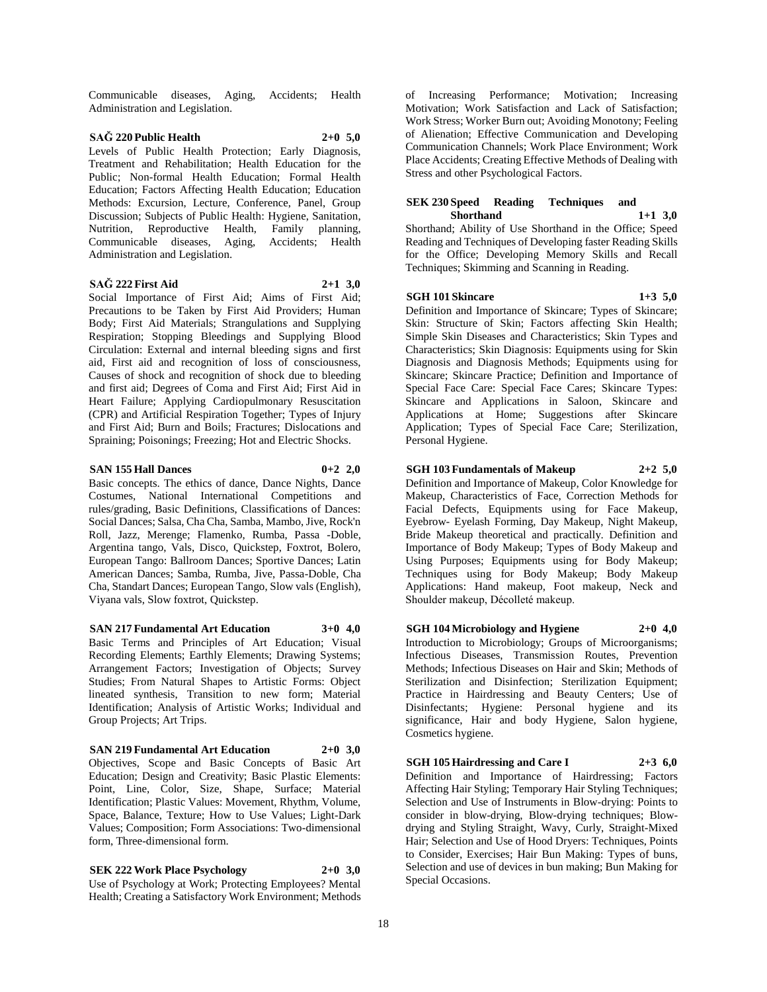Communicable diseases, Aging, Accidents; Health Administration and Legislation.

## **SAĞ 220 Public Health 2+0 5,0** Levels of Public Health Protection; Early Diagnosis,

Treatment and Rehabilitation; Health Education for the Public; Non-formal Health Education; Formal Health Education; Factors Affecting Health Education; Education Methods: Excursion, Lecture, Conference, Panel, Group Discussion; Subjects of Public Health: Hygiene, Sanitation, Nutrition, Reproductive Health, Family planning, Communicable diseases, Aging, Accidents; Health Administration and Legislation.

# **SAĞ 222 First Aid 2+1 3,0**

Social Importance of First Aid; Aims of First Aid; Precautions to be Taken by First Aid Providers; Human Body; First Aid Materials; Strangulations and Supplying Respiration; Stopping Bleedings and Supplying Blood Circulation: External and internal bleeding signs and first aid, First aid and recognition of loss of consciousness, Causes of shock and recognition of shock due to bleeding and first aid; Degrees of Coma and First Aid; First Aid in Heart Failure; Applying Cardiopulmonary Resuscitation (CPR) and Artificial Respiration Together; Types of Injury and First Aid; Burn and Boils; Fractures; Dislocations and Spraining; Poisonings; Freezing; Hot and Electric Shocks.

#### **SAN 155 Hall Dances 0+2 2,0**

Basic concepts. The ethics of dance, Dance Nights, Dance Costumes, National International Competitions and rules/grading, Basic Definitions, Classifications of Dances: Social Dances; Salsa, Cha Cha, Samba, Mambo, Jive, Rock'n Roll, Jazz, Merenge; Flamenko, Rumba, Passa -Doble, Argentina tango, Vals, Disco, Quickstep, Foxtrot, Bolero, European Tango: Ballroom Dances; Sportive Dances; Latin American Dances; Samba, Rumba, Jive, Passa-Doble, Cha Cha, Standart Dances; European Tango, Slow vals (English), Viyana vals, Slow foxtrot, Quickstep.

**SAN 217 Fundamental Art Education 3+0 4,0** Basic Terms and Principles of Art Education; Visual Recording Elements; Earthly Elements; Drawing Systems; Arrangement Factors; Investigation of Objects; Survey Studies; From Natural Shapes to Artistic Forms: Object lineated synthesis, Transition to new form; Material Identification; Analysis of Artistic Works; Individual and Group Projects; Art Trips.

**SAN 219 Fundamental Art Education 2+0 3,0** Objectives, Scope and Basic Concepts of Basic Art Education; Design and Creativity; Basic Plastic Elements: Point, Line, Color, Size, Shape, Surface; Material Identification; Plastic Values: Movement, Rhythm, Volume, Space, Balance, Texture; How to Use Values; Light-Dark Values; Composition; Form Associations: Two-dimensional form, Three-dimensional form.

**SEK 222 Work Place Psychology 2+0 3,0** Use of Psychology at Work; Protecting Employees? Mental Health; Creating a Satisfactory Work Environment; Methods

of Increasing Performance; Motivation; Increasing Motivation; Work Satisfaction and Lack of Satisfaction; Work Stress; Worker Burn out; Avoiding Monotony; Feeling of Alienation; Effective Communication and Developing Communication Channels; Work Place Environment; Work Place Accidents; Creating Effective Methods of Dealing with Stress and other Psychological Factors.

#### **SEK 230 Speed Reading Techniques and Shorthand 1+1 3,0**

Shorthand; Ability of Use Shorthand in the Office; Speed Reading and Techniques of Developing faster Reading Skills for the Office; Developing Memory Skills and Recall Techniques; Skimming and Scanning in Reading.

# **SGH 101 Skincare 1+3 5,0**

Definition and Importance of Skincare; Types of Skincare; Skin: Structure of Skin; Factors affecting Skin Health; Simple Skin Diseases and Characteristics; Skin Types and Characteristics; Skin Diagnosis: Equipments using for Skin Diagnosis and Diagnosis Methods; Equipments using for Skincare; Skincare Practice; Definition and Importance of Special Face Care: Special Face Cares; Skincare Types: Skincare and Applications in Saloon, Skincare and Applications at Home; Suggestions after Skincare Application; Types of Special Face Care; Sterilization, Personal Hygiene.

**SGH 103 Fundamentals of Makeup 2+2 5,0** Definition and Importance of Makeup, Color Knowledge for Makeup, Characteristics of Face, Correction Methods for Facial Defects, Equipments using for Face Makeup, Eyebrow- Eyelash Forming, Day Makeup, Night Makeup, Bride Makeup theoretical and practically. Definition and Importance of Body Makeup; Types of Body Makeup and Using Purposes; Equipments using for Body Makeup; Techniques using for Body Makeup; Body Makeup Applications: Hand makeup, Foot makeup, Neck and Shoulder makeup, Décolleté makeup.

**SGH 104 Microbiology and Hygiene 2+0 4,0** Introduction to Microbiology; Groups of Microorganisms; Infectious Diseases, Transmission Routes, Prevention Methods; Infectious Diseases on Hair and Skin; Methods of Sterilization and Disinfection; Sterilization Equipment; Practice in Hairdressing and Beauty Centers; Use of Disinfectants; Hygiene: Personal hygiene and its significance, Hair and body Hygiene, Salon hygiene, Cosmetics hygiene.

**SGH 105 Hairdressing and Care I 2+3 6,0** Definition and Importance of Hairdressing; Factors Affecting Hair Styling; Temporary Hair Styling Techniques; Selection and Use of Instruments in Blow-drying: Points to consider in blow-drying, Blow-drying techniques; Blowdrying and Styling Straight, Wavy, Curly, Straight-Mixed Hair; Selection and Use of Hood Dryers: Techniques, Points to Consider, Exercises; Hair Bun Making: Types of buns, Selection and use of devices in bun making; Bun Making for Special Occasions.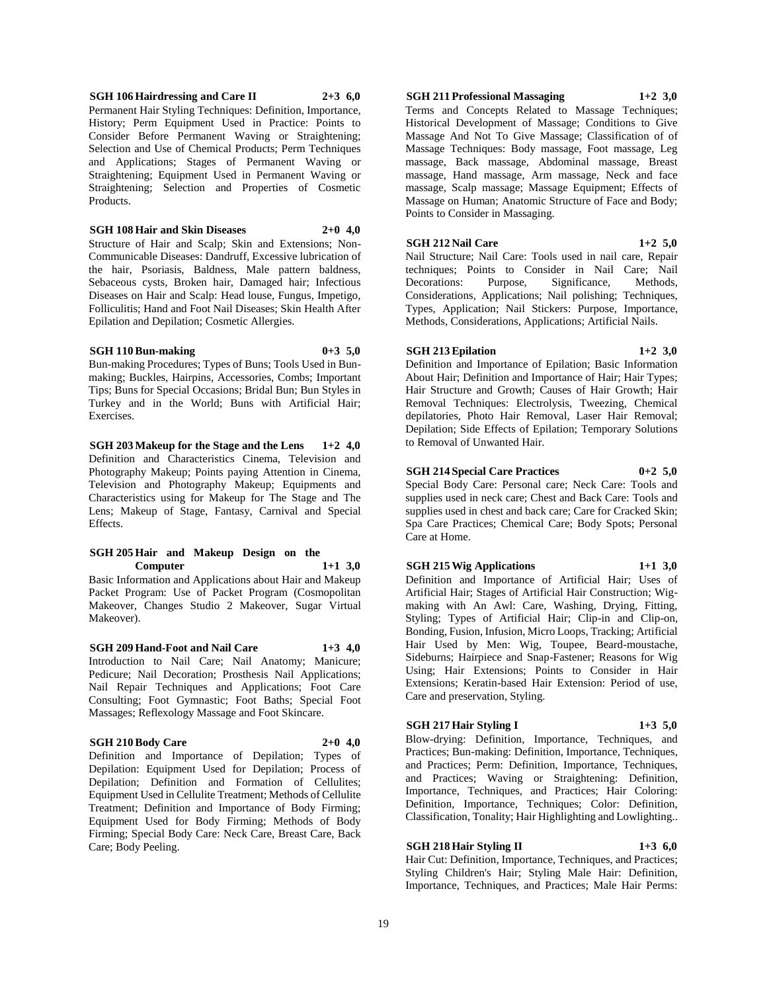#### **SGH 106 Hairdressing and Care II 2+3 6,0** Permanent Hair Styling Techniques: Definition, Importance, History; Perm Equipment Used in Practice: Points to Consider Before Permanent Waving or Straightening; Selection and Use of Chemical Products; Perm Techniques and Applications; Stages of Permanent Waving or Straightening; Equipment Used in Permanent Waving or Straightening; Selection and Properties of Cosmetic Products.

**SGH 108 Hair and Skin Diseases 2+0 4,0**

Structure of Hair and Scalp; Skin and Extensions; Non-Communicable Diseases: Dandruff, Excessive lubrication of the hair, Psoriasis, Baldness, Male pattern baldness, Sebaceous cysts, Broken hair, Damaged hair; Infectious Diseases on Hair and Scalp: Head louse, Fungus, Impetigo, Folliculitis; Hand and Foot Nail Diseases; Skin Health After Epilation and Depilation; Cosmetic Allergies.

#### **SGH 110 Bun-making 0+3 5,0**

Bun-making Procedures; Types of Buns; Tools Used in Bunmaking; Buckles, Hairpins, Accessories, Combs; Important Tips; Buns for Special Occasions; Bridal Bun; Bun Styles in Turkey and in the World; Buns with Artificial Hair; Exercises.

**SGH 203 Makeup for the Stage and the Lens 1+2 4,0** Definition and Characteristics Cinema, Television and Photography Makeup; Points paying Attention in Cinema, Television and Photography Makeup; Equipments and Characteristics using for Makeup for The Stage and The Lens; Makeup of Stage, Fantasy, Carnival and Special Effects.

#### **SGH 205 Hair and Makeup Design on the Computer 1+1 3,0**

Basic Information and Applications about Hair and Makeup Packet Program: Use of Packet Program (Cosmopolitan Makeover, Changes Studio 2 Makeover, Sugar Virtual Makeover).

**SGH 209 Hand-Foot and Nail Care 1+3 4,0** Introduction to Nail Care; Nail Anatomy; Manicure; Pedicure; Nail Decoration; Prosthesis Nail Applications; Nail Repair Techniques and Applications; Foot Care Consulting; Foot Gymnastic; Foot Baths; Special Foot Massages; Reflexology Massage and Foot Skincare.

# **SGH 210 Body Care 2+0 4,0**

Definition and Importance of Depilation; Types of Depilation: Equipment Used for Depilation; Process of Depilation; Definition and Formation of Cellulites; Equipment Used in Cellulite Treatment; Methods of Cellulite Treatment; Definition and Importance of Body Firming; Equipment Used for Body Firming; Methods of Body Firming; Special Body Care: Neck Care, Breast Care, Back Care; Body Peeling.

# **SGH 211 Professional Massaging 1+2 3,0**

Terms and Concepts Related to Massage Techniques; Historical Development of Massage; Conditions to Give Massage And Not To Give Massage; Classification of of Massage Techniques: Body massage, Foot massage, Leg massage, Back massage, Abdominal massage, Breast massage, Hand massage, Arm massage, Neck and face massage, Scalp massage; Massage Equipment; Effects of Massage on Human; Anatomic Structure of Face and Body; Points to Consider in Massaging.

# **SGH 212 Nail Care 1+2 5,0**

Nail Structure; Nail Care: Tools used in nail care, Repair techniques; Points to Consider in Nail Care; Nail Decorations: Purpose, Significance, Methods, Considerations, Applications; Nail polishing; Techniques, Types, Application; Nail Stickers: Purpose, Importance, Methods, Considerations, Applications; Artificial Nails.

# **SGH 213 Epilation 1+2 3,0**

Definition and Importance of Epilation; Basic Information About Hair; Definition and Importance of Hair; Hair Types; Hair Structure and Growth; Causes of Hair Growth; Hair Removal Techniques: Electrolysis, Tweezing, Chemical depilatories, Photo Hair Removal, Laser Hair Removal; Depilation; Side Effects of Epilation; Temporary Solutions to Removal of Unwanted Hair.

# **SGH 214 Special Care Practices 0+2 5,0**

Special Body Care: Personal care; Neck Care: Tools and supplies used in neck care; Chest and Back Care: Tools and supplies used in chest and back care; Care for Cracked Skin; Spa Care Practices; Chemical Care; Body Spots; Personal Care at Home.

# **SGH 215 Wig Applications 1+1 3,0**

Definition and Importance of Artificial Hair; Uses of Artificial Hair; Stages of Artificial Hair Construction; Wigmaking with An Awl: Care, Washing, Drying, Fitting, Styling; Types of Artificial Hair; Clip-in and Clip-on, Bonding, Fusion, Infusion, Micro Loops, Tracking; Artificial Hair Used by Men: Wig, Toupee, Beard-moustache, Sideburns; Hairpiece and Snap-Fastener; Reasons for Wig Using; Hair Extensions; Points to Consider in Hair Extensions; Keratin-based Hair Extension: Period of use, Care and preservation, Styling.

# **SGH 217 Hair Styling I 1+3 5,0**

Blow-drying: Definition, Importance, Techniques, and Practices; Bun-making: Definition, Importance, Techniques, and Practices; Perm: Definition, Importance, Techniques, and Practices; Waving or Straightening: Definition, Importance, Techniques, and Practices; Hair Coloring: Definition, Importance, Techniques; Color: Definition, Classification, Tonality; Hair Highlighting and Lowlighting..

# **SGH 218 Hair Styling II 1+3 6,0**

Hair Cut: Definition, Importance, Techniques, and Practices; Styling Children's Hair; Styling Male Hair: Definition, Importance, Techniques, and Practices; Male Hair Perms: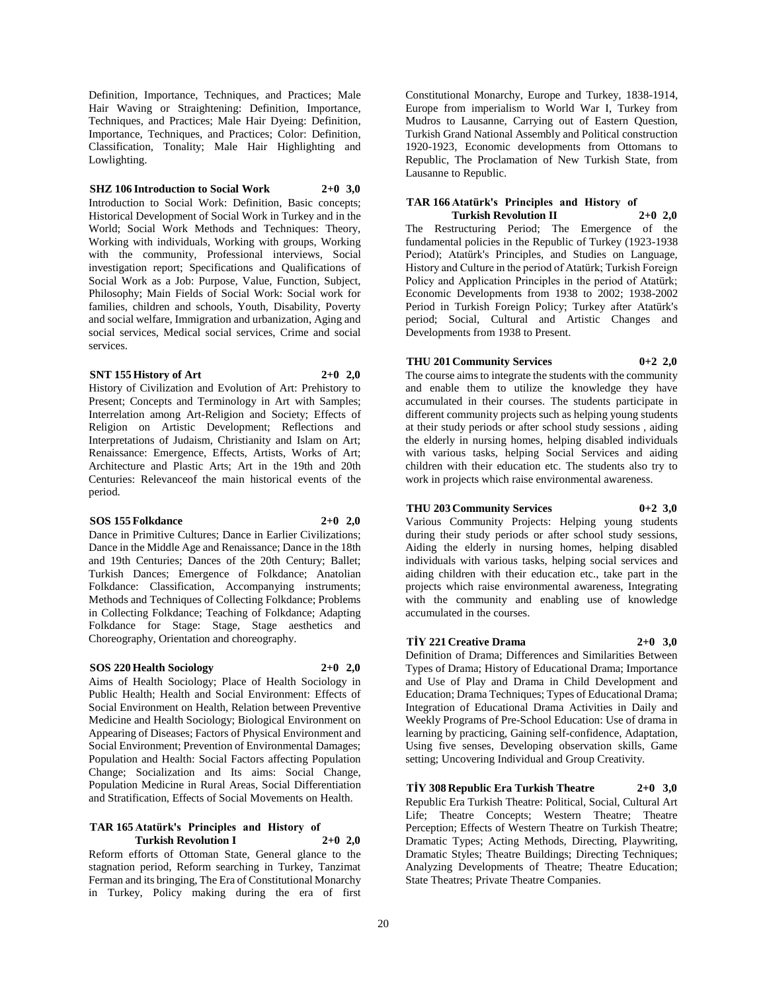Definition, Importance, Techniques, and Practices; Male Hair Waving or Straightening: Definition, Importance, Techniques, and Practices; Male Hair Dyeing: Definition, Importance, Techniques, and Practices; Color: Definition, Classification, Tonality; Male Hair Highlighting and Lowlighting.

## **SHZ 106 Introduction to Social Work 2+0 3,0**

Introduction to Social Work: Definition, Basic concepts; Historical Development of Social Work in Turkey and in the World; Social Work Methods and Techniques: Theory, Working with individuals, Working with groups, Working with the community, Professional interviews, Social investigation report; Specifications and Qualifications of Social Work as a Job: Purpose, Value, Function, Subject, Philosophy; Main Fields of Social Work: Social work for families, children and schools, Youth, Disability, Poverty and social welfare, Immigration and urbanization, Aging and social services, Medical social services, Crime and social services.

#### **SNT 155 History of Art 2+0 2,0**

History of Civilization and Evolution of Art: Prehistory to Present; Concepts and Terminology in Art with Samples; Interrelation among Art-Religion and Society; Effects of Religion on Artistic Development; Reflections and Interpretations of Judaism, Christianity and Islam on Art; Renaissance: Emergence, Effects, Artists, Works of Art; Architecture and Plastic Arts; Art in the 19th and 20th Centuries: Relevanceof the main historical events of the period.

#### **SOS 155 Folkdance 2+0 2,0**

Dance in Primitive Cultures; Dance in Earlier Civilizations; Dance in the Middle Age and Renaissance; Dance in the 18th and 19th Centuries; Dances of the 20th Century; Ballet; Turkish Dances; Emergence of Folkdance; Anatolian Folkdance: Classification, Accompanying instruments; Methods and Techniques of Collecting Folkdance; Problems in Collecting Folkdance; Teaching of Folkdance; Adapting Folkdance for Stage: Stage, Stage aesthetics and Choreography, Orientation and choreography.

# **SOS 220 Health Sociology 2+0 2,0**

Aims of Health Sociology; Place of Health Sociology in Public Health; Health and Social Environment: Effects of Social Environment on Health, Relation between Preventive Medicine and Health Sociology; Biological Environment on Appearing of Diseases; Factors of Physical Environment and Social Environment; Prevention of Environmental Damages; Population and Health: Social Factors affecting Population Change; Socialization and Its aims: Social Change, Population Medicine in Rural Areas, Social Differentiation and Stratification, Effects of Social Movements on Health.

#### **TAR 165 Atatürk's Principles and History of Turkish Revolution I 2+0 2,0**

Reform efforts of Ottoman State, General glance to the stagnation period, Reform searching in Turkey, Tanzimat Ferman and its bringing, The Era of Constitutional Monarchy in Turkey, Policy making during the era of first

Constitutional Monarchy, Europe and Turkey, 1838-1914, Europe from imperialism to World War I, Turkey from Mudros to Lausanne, Carrying out of Eastern Question, Turkish Grand National Assembly and Political construction 1920-1923, Economic developments from Ottomans to Republic, The Proclamation of New Turkish State, from Lausanne to Republic.

#### **TAR 166 Atatürk's Principles and History of Turkish Revolution II 2+0 2,0**

The Restructuring Period; The Emergence of the fundamental policies in the Republic of Turkey (1923-1938 Period); Atatürk's Principles, and Studies on Language, History and Culture in the period of Atatürk; Turkish Foreign Policy and Application Principles in the period of Atatürk; Economic Developments from 1938 to 2002; 1938-2002 Period in Turkish Foreign Policy; Turkey after Atatürk's period; Social, Cultural and Artistic Changes and Developments from 1938 to Present.

# **THU 201 Community Services 0+2 2,0**

The course aims to integrate the students with the community and enable them to utilize the knowledge they have accumulated in their courses. The students participate in different community projects such as helping young students at their study periods or after school study sessions , aiding the elderly in nursing homes, helping disabled individuals with various tasks, helping Social Services and aiding children with their education etc. The students also try to work in projects which raise environmental awareness.

## **THU 203 Community Services 0+2 3,0**

Various Community Projects: Helping young students during their study periods or after school study sessions, Aiding the elderly in nursing homes, helping disabled individuals with various tasks, helping social services and aiding children with their education etc., take part in the projects which raise environmental awareness, Integrating with the community and enabling use of knowledge

# **TİY 221 Creative Drama 2+0 3,0**

accumulated in the courses.

Definition of Drama; Differences and Similarities Between Types of Drama; History of Educational Drama; Importance and Use of Play and Drama in Child Development and Education; Drama Techniques; Types of Educational Drama; Integration of Educational Drama Activities in Daily and Weekly Programs of Pre-School Education: Use of drama in learning by practicing, Gaining self-confidence, Adaptation, Using five senses, Developing observation skills, Game setting; Uncovering Individual and Group Creativity.

**TİY 308 Republic Era Turkish Theatre 2+0 3,0** Republic Era Turkish Theatre: Political, Social, Cultural Art Life; Theatre Concepts; Western Theatre; Theatre Perception; Effects of Western Theatre on Turkish Theatre; Dramatic Types; Acting Methods, Directing, Playwriting, Dramatic Styles; Theatre Buildings; Directing Techniques; Analyzing Developments of Theatre; Theatre Education; State Theatres; Private Theatre Companies.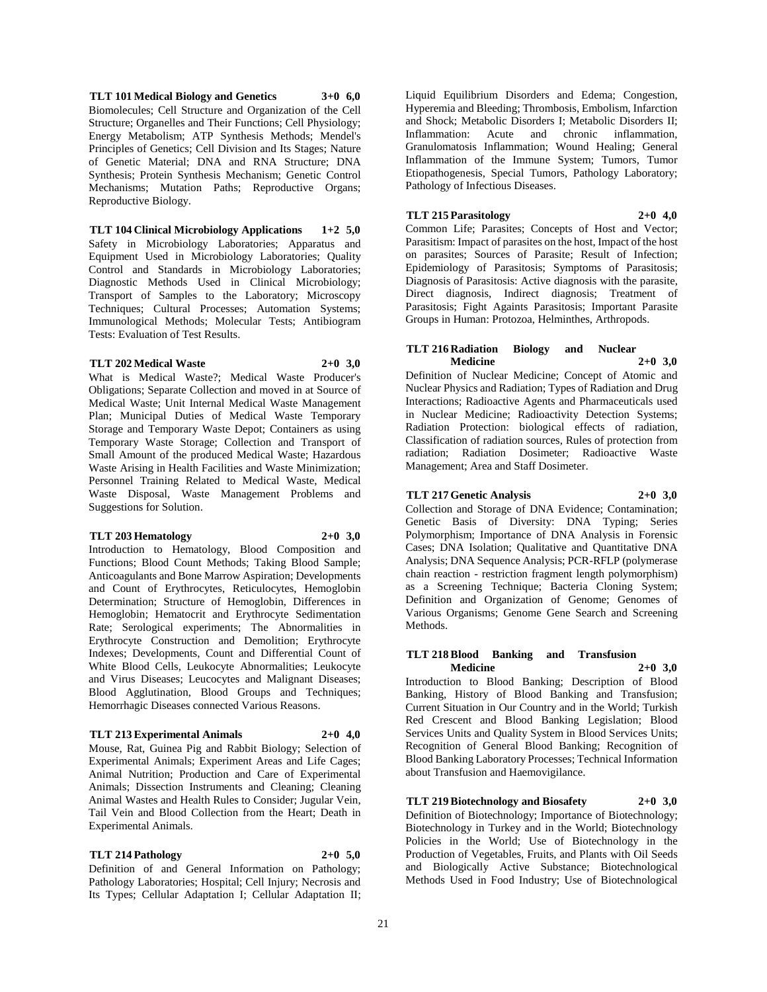**TLT 101 Medical Biology and Genetics 3+0 6,0** Biomolecules; Cell Structure and Organization of the Cell Structure; Organelles and Their Functions; Cell Physiology; Energy Metabolism; ATP Synthesis Methods; Mendel's Principles of Genetics; Cell Division and Its Stages; Nature of Genetic Material; DNA and RNA Structure; DNA Synthesis; Protein Synthesis Mechanism; Genetic Control Mechanisms; Mutation Paths; Reproductive Organs; Reproductive Biology.

**TLT 104 Clinical Microbiology Applications 1+2 5,0** Safety in Microbiology Laboratories; Apparatus and Equipment Used in Microbiology Laboratories; Quality Control and Standards in Microbiology Laboratories; Diagnostic Methods Used in Clinical Microbiology; Transport of Samples to the Laboratory; Microscopy Techniques; Cultural Processes; Automation Systems; Immunological Methods; Molecular Tests; Antibiogram Tests: Evaluation of Test Results.

#### **TLT 202 Medical Waste 2+0 3,0**

What is Medical Waste?; Medical Waste Producer's Obligations; Separate Collection and moved in at Source of Medical Waste; Unit Internal Medical Waste Management Plan; Municipal Duties of Medical Waste Temporary Storage and Temporary Waste Depot; Containers as using Temporary Waste Storage; Collection and Transport of Small Amount of the produced Medical Waste; Hazardous Waste Arising in Health Facilities and Waste Minimization; Personnel Training Related to Medical Waste, Medical Waste Disposal, Waste Management Problems and Suggestions for Solution.

#### **TLT 203 Hematology 2+0 3,0**

Introduction to Hematology, Blood Composition and Functions; Blood Count Methods; Taking Blood Sample; Anticoagulants and Bone Marrow Aspiration; Developments and Count of Erythrocytes, Reticulocytes, Hemoglobin Determination; Structure of Hemoglobin, Differences in Hemoglobin; Hematocrit and Erythrocyte Sedimentation Rate; Serological experiments; The Abnormalities in Erythrocyte Construction and Demolition; Erythrocyte Indexes; Developments, Count and Differential Count of White Blood Cells, Leukocyte Abnormalities; Leukocyte and Virus Diseases; Leucocytes and Malignant Diseases; Blood Agglutination, Blood Groups and Techniques; Hemorrhagic Diseases connected Various Reasons.

#### **TLT 213 Experimental Animals 2+0 4,0**

Mouse, Rat, Guinea Pig and Rabbit Biology; Selection of Experimental Animals; Experiment Areas and Life Cages; Animal Nutrition; Production and Care of Experimental Animals; Dissection Instruments and Cleaning; Cleaning Animal Wastes and Health Rules to Consider; Jugular Vein, Tail Vein and Blood Collection from the Heart; Death in Experimental Animals.

# **TLT 214 Pathology 2+0 5,0**

Definition of and General Information on Pathology; Pathology Laboratories; Hospital; Cell Injury; Necrosis and Its Types; Cellular Adaptation I; Cellular Adaptation II;

Liquid Equilibrium Disorders and Edema; Congestion, Hyperemia and Bleeding; Thrombosis, Embolism, Infarction and Shock; Metabolic Disorders I; Metabolic Disorders II; Inflammation: Acute and chronic inflammation, Granulomatosis Inflammation; Wound Healing; General Inflammation of the Immune System; Tumors, Tumor Etiopathogenesis, Special Tumors, Pathology Laboratory; Pathology of Infectious Diseases.

# **TLT 215 Parasitology 2+0 4,0**

Common Life; Parasites; Concepts of Host and Vector; Parasitism: Impact of parasites on the host, Impact of the host on parasites; Sources of Parasite; Result of Infection; Epidemiology of Parasitosis; Symptoms of Parasitosis; Diagnosis of Parasitosis: Active diagnosis with the parasite, Direct diagnosis, Indirect diagnosis; Treatment of Parasitosis; Fight Againts Parasitosis; Important Parasite Groups in Human: Protozoa, Helminthes, Arthropods.

## **TLT 216 Radiation Biology and Nuclear Medicine 2+0 3,0**

Definition of Nuclear Medicine; Concept of Atomic and Nuclear Physics and Radiation; Types of Radiation and Drug Interactions; Radioactive Agents and Pharmaceuticals used in Nuclear Medicine; Radioactivity Detection Systems; Radiation Protection: biological effects of radiation, Classification of radiation sources, Rules of protection from radiation; Radiation Dosimeter; Radioactive Waste Management; Area and Staff Dosimeter.

### **TLT 217 Genetic Analysis 2+0 3,0**

Collection and Storage of DNA Evidence; Contamination; Genetic Basis of Diversity: DNA Typing; Series Polymorphism; Importance of DNA Analysis in Forensic Cases; DNA Isolation; Qualitative and Quantitative DNA Analysis; DNA Sequence Analysis; PCR-RFLP (polymerase chain reaction - restriction fragment length polymorphism) as a Screening Technique; Bacteria Cloning System; Definition and Organization of Genome; Genomes of Various Organisms; Genome Gene Search and Screening Methods.

#### **TLT 218 Blood Banking and Transfusion Medicine 2+0 3,0**

Introduction to Blood Banking; Description of Blood Banking, History of Blood Banking and Transfusion; Current Situation in Our Country and in the World; Turkish Red Crescent and Blood Banking Legislation; Blood Services Units and Quality System in Blood Services Units; Recognition of General Blood Banking; Recognition of Blood Banking Laboratory Processes; Technical Information about Transfusion and Haemovigilance.

**TLT 219 Biotechnology and Biosafety 2+0 3,0** Definition of Biotechnology; Importance of Biotechnology; Biotechnology in Turkey and in the World; Biotechnology Policies in the World; Use of Biotechnology in the Production of Vegetables, Fruits, and Plants with Oil Seeds and Biologically Active Substance; Biotechnological Methods Used in Food Industry; Use of Biotechnological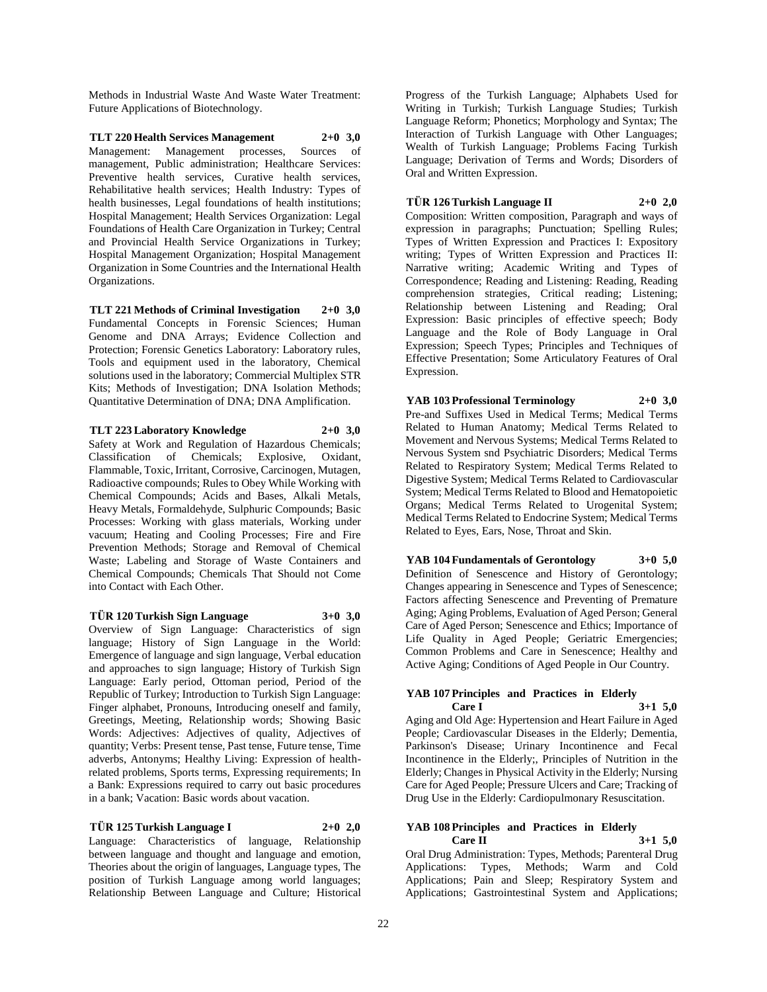Methods in Industrial Waste And Waste Water Treatment: Future Applications of Biotechnology.

**TLT 220 Health Services Management 2+0 3,0** Management: Management processes, Sources of management, Public administration; Healthcare Services: Preventive health services, Curative health services, Rehabilitative health services; Health Industry: Types of health businesses, Legal foundations of health institutions; Hospital Management; Health Services Organization: Legal Foundations of Health Care Organization in Turkey; Central and Provincial Health Service Organizations in Turkey; Hospital Management Organization; Hospital Management Organization in Some Countries and the International Health Organizations.

**TLT 221 Methods of Criminal Investigation 2+0 3,0** Fundamental Concepts in Forensic Sciences; Human Genome and DNA Arrays; Evidence Collection and Protection; Forensic Genetics Laboratory: Laboratory rules, Tools and equipment used in the laboratory, Chemical solutions used in the laboratory; Commercial Multiplex STR Kits; Methods of Investigation; DNA Isolation Methods; Quantitative Determination of DNA; DNA Amplification.

**TLT 223 Laboratory Knowledge 2+0 3,0** Safety at Work and Regulation of Hazardous Chemicals; Classification of Chemicals; Explosive, Oxidant, Flammable, Toxic, Irritant, Corrosive, Carcinogen, Mutagen, Radioactive compounds; Rules to Obey While Working with Chemical Compounds; Acids and Bases, Alkali Metals, Heavy Metals, Formaldehyde, Sulphuric Compounds; Basic Processes: Working with glass materials, Working under vacuum; Heating and Cooling Processes; Fire and Fire Prevention Methods; Storage and Removal of Chemical Waste; Labeling and Storage of Waste Containers and Chemical Compounds; Chemicals That Should not Come into Contact with Each Other.

**TÜR 120 Turkish Sign Language 3+0 3,0** Overview of Sign Language: Characteristics of sign language; History of Sign Language in the World: Emergence of language and sign language, Verbal education and approaches to sign language; History of Turkish Sign Language: Early period, Ottoman period, Period of the Republic of Turkey; Introduction to Turkish Sign Language: Finger alphabet, Pronouns, Introducing oneself and family, Greetings, Meeting, Relationship words; Showing Basic Words: Adjectives: Adjectives of quality, Adjectives of quantity; Verbs: Present tense, Past tense, Future tense, Time adverbs, Antonyms; Healthy Living: Expression of healthrelated problems, Sports terms, Expressing requirements; In a Bank: Expressions required to carry out basic procedures in a bank; Vacation: Basic words about vacation.

#### **TÜR 125 Turkish Language I 2+0 2,0**

Language: Characteristics of language, Relationship between language and thought and language and emotion, Theories about the origin of languages, Language types, The position of Turkish Language among world languages; Relationship Between Language and Culture; Historical

Progress of the Turkish Language; Alphabets Used for Writing in Turkish; Turkish Language Studies; Turkish Language Reform; Phonetics; Morphology and Syntax; The Interaction of Turkish Language with Other Languages; Wealth of Turkish Language; Problems Facing Turkish Language; Derivation of Terms and Words; Disorders of Oral and Written Expression.

### **TÜR 126 Turkish Language II 2+0 2,0**

Composition: Written composition, Paragraph and ways of expression in paragraphs; Punctuation; Spelling Rules; Types of Written Expression and Practices I: Expository writing; Types of Written Expression and Practices II: Narrative writing; Academic Writing and Types of Correspondence; Reading and Listening: Reading, Reading comprehension strategies, Critical reading; Listening; Relationship between Listening and Reading; Oral Expression: Basic principles of effective speech; Body Language and the Role of Body Language in Oral Expression; Speech Types; Principles and Techniques of Effective Presentation; Some Articulatory Features of Oral Expression.

**YAB 103 Professional Terminology 2+0 3,0** Pre-and Suffixes Used in Medical Terms; Medical Terms Related to Human Anatomy; Medical Terms Related to Movement and Nervous Systems; Medical Terms Related to Nervous System snd Psychiatric Disorders; Medical Terms Related to Respiratory System; Medical Terms Related to Digestive System; Medical Terms Related to Cardiovascular System; Medical Terms Related to Blood and Hematopoietic Organs; Medical Terms Related to Urogenital System; Medical Terms Related to Endocrine System; Medical Terms Related to Eyes, Ears, Nose, Throat and Skin.

**YAB 104 Fundamentals of Gerontology 3+0 5,0** Definition of Senescence and History of Gerontology; Changes appearing in Senescence and Types of Senescence; Factors affecting Senescence and Preventing of Premature Aging; Aging Problems, Evaluation of Aged Person; General Care of Aged Person; Senescence and Ethics; Importance of Life Quality in Aged People; Geriatric Emergencies; Common Problems and Care in Senescence; Healthy and Active Aging; Conditions of Aged People in Our Country.

### **YAB 107 Principles and Practices in Elderly Care I 3+1 5,0**

Aging and Old Age: Hypertension and Heart Failure in Aged People; Cardiovascular Diseases in the Elderly; Dementia, Parkinson's Disease; Urinary Incontinence and Fecal Incontinence in the Elderly;, Principles of Nutrition in the Elderly; Changes in Physical Activity in the Elderly; Nursing Care for Aged People; Pressure Ulcers and Care; Tracking of Drug Use in the Elderly: Cardiopulmonary Resuscitation.

# **YAB 108 Principles and Practices in Elderly Care II 3+1 5,0**

Oral Drug Administration: Types, Methods; Parenteral Drug Applications: Types, Methods; Warm and Cold Applications; Pain and Sleep; Respiratory System and Applications; Gastrointestinal System and Applications;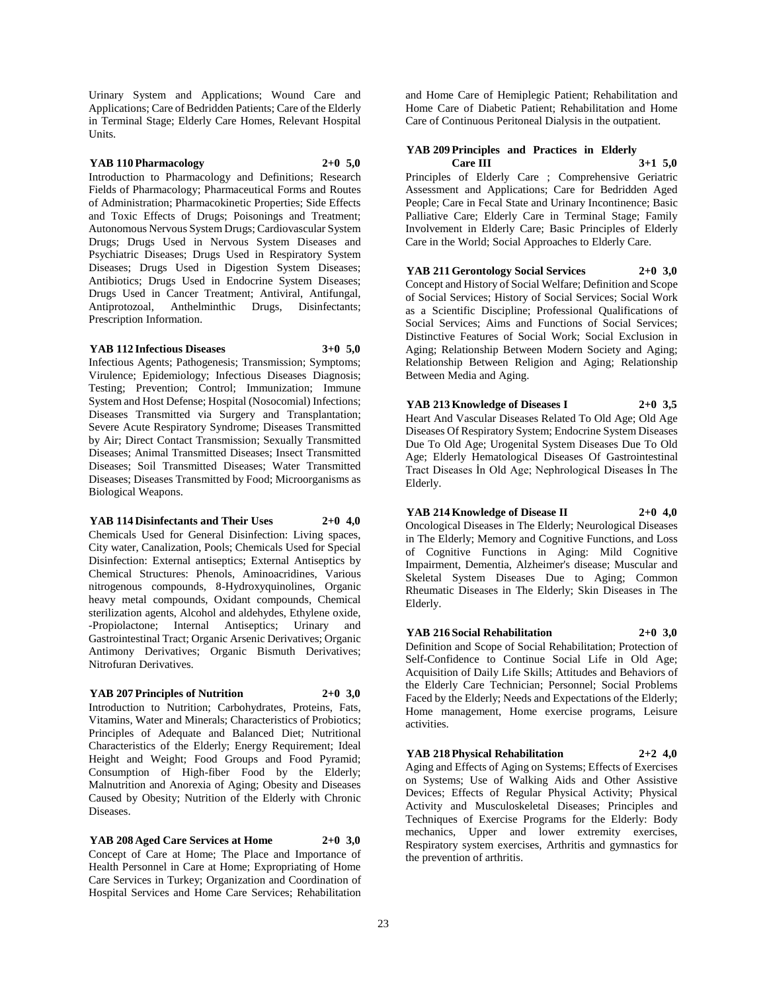Urinary System and Applications; Wound Care and Applications; Care of Bedridden Patients; Care of the Elderly in Terminal Stage; Elderly Care Homes, Relevant Hospital Units.

#### **YAB 110 Pharmacology 2+0 5,0**

Introduction to Pharmacology and Definitions; Research Fields of Pharmacology; Pharmaceutical Forms and Routes of Administration; Pharmacokinetic Properties; Side Effects and Toxic Effects of Drugs; Poisonings and Treatment; Autonomous Nervous System Drugs; Cardiovascular System Drugs; Drugs Used in Nervous System Diseases and Psychiatric Diseases; Drugs Used in Respiratory System Diseases; Drugs Used in Digestion System Diseases; Antibiotics; Drugs Used in Endocrine System Diseases; Drugs Used in Cancer Treatment; Antiviral, Antifungal, Antiprotozoal, Anthelminthic Drugs, Disinfectants; Prescription Information.

#### **YAB 112 Infectious Diseases 3+0 5,0**

Infectious Agents; Pathogenesis; Transmission; Symptoms; Virulence; Epidemiology; Infectious Diseases Diagnosis; Testing; Prevention; Control; Immunization; Immune System and Host Defense; Hospital (Nosocomial) Infections; Diseases Transmitted via Surgery and Transplantation; Severe Acute Respiratory Syndrome; Diseases Transmitted by Air; Direct Contact Transmission; Sexually Transmitted Diseases; Animal Transmitted Diseases; Insect Transmitted Diseases; Soil Transmitted Diseases; Water Transmitted Diseases; Diseases Transmitted by Food; Microorganisms as Biological Weapons.

#### **YAB 114 Disinfectants and Their Uses 2+0 4,0**

Chemicals Used for General Disinfection: Living spaces, City water, Canalization, Pools; Chemicals Used for Special Disinfection: External antiseptics; External Antiseptics by Chemical Structures: Phenols, Aminoacridines, Various nitrogenous compounds, 8-Hydroxyquinolines, Organic heavy metal compounds, Oxidant compounds, Chemical sterilization agents, Alcohol and aldehydes, Ethylene oxide, -Propiolactone; Internal Antiseptics; Urinary and Gastrointestinal Tract; Organic Arsenic Derivatives; Organic Antimony Derivatives; Organic Bismuth Derivatives; Nitrofuran Derivatives.

# **YAB 207 Principles of Nutrition 2+0 3,0**

Introduction to Nutrition; Carbohydrates, Proteins, Fats, Vitamins, Water and Minerals; Characteristics of Probiotics; Principles of Adequate and Balanced Diet; Nutritional Characteristics of the Elderly; Energy Requirement; Ideal Height and Weight; Food Groups and Food Pyramid; Consumption of High-fiber Food by the Elderly; Malnutrition and Anorexia of Aging; Obesity and Diseases Caused by Obesity; Nutrition of the Elderly with Chronic Diseases.

**YAB 208 Aged Care Services at Home 2+0 3,0** Concept of Care at Home; The Place and Importance of Health Personnel in Care at Home; Expropriating of Home Care Services in Turkey; Organization and Coordination of Hospital Services and Home Care Services; Rehabilitation

and Home Care of Hemiplegic Patient; Rehabilitation and Home Care of Diabetic Patient; Rehabilitation and Home Care of Continuous Peritoneal Dialysis in the outpatient.

# **YAB 209 Principles and Practices in Elderly Care III 3+1 5,0**

Principles of Elderly Care ; Comprehensive Geriatric Assessment and Applications; Care for Bedridden Aged People; Care in Fecal State and Urinary Incontinence; Basic Palliative Care; Elderly Care in Terminal Stage; Family Involvement in Elderly Care; Basic Principles of Elderly Care in the World; Social Approaches to Elderly Care.

# **YAB 211 Gerontology Social Services 2+0 3,0**

Concept and History of Social Welfare; Definition and Scope of Social Services; History of Social Services; Social Work as a Scientific Discipline; Professional Qualifications of Social Services; Aims and Functions of Social Services; Distinctive Features of Social Work; Social Exclusion in Aging; Relationship Between Modern Society and Aging; Relationship Between Religion and Aging; Relationship Between Media and Aging.

**YAB 213 Knowledge of Diseases I 2+0 3,5** Heart And Vascular Diseases Related To Old Age; Old Age Diseases Of Respiratory System; Endocrine System Diseases Due To Old Age; Urogenital System Diseases Due To Old Age; Elderly Hematological Diseases Of Gastrointestinal Tract Diseases İn Old Age; Nephrological Diseases İn The Elderly.

# **YAB 214 Knowledge of Disease II 2+0 4,0**

Oncological Diseases in The Elderly; Neurological Diseases in The Elderly; Memory and Cognitive Functions, and Loss of Cognitive Functions in Aging: Mild Cognitive Impairment, Dementia, Alzheimer's disease; Muscular and Skeletal System Diseases Due to Aging; Common Rheumatic Diseases in The Elderly; Skin Diseases in The Elderly.

# **YAB 216 Social Rehabilitation 2+0 3,0**

Definition and Scope of Social Rehabilitation; Protection of Self-Confidence to Continue Social Life in Old Age; Acquisition of Daily Life Skills; Attitudes and Behaviors of the Elderly Care Technician; Personnel; Social Problems Faced by the Elderly; Needs and Expectations of the Elderly; Home management, Home exercise programs, Leisure activities.

# **YAB 218 Physical Rehabilitation 2+2 4,0**

Aging and Effects of Aging on Systems; Effects of Exercises on Systems; Use of Walking Aids and Other Assistive Devices; Effects of Regular Physical Activity; Physical Activity and Musculoskeletal Diseases; Principles and Techniques of Exercise Programs for the Elderly: Body mechanics, Upper and lower extremity exercises, Respiratory system exercises, Arthritis and gymnastics for the prevention of arthritis.